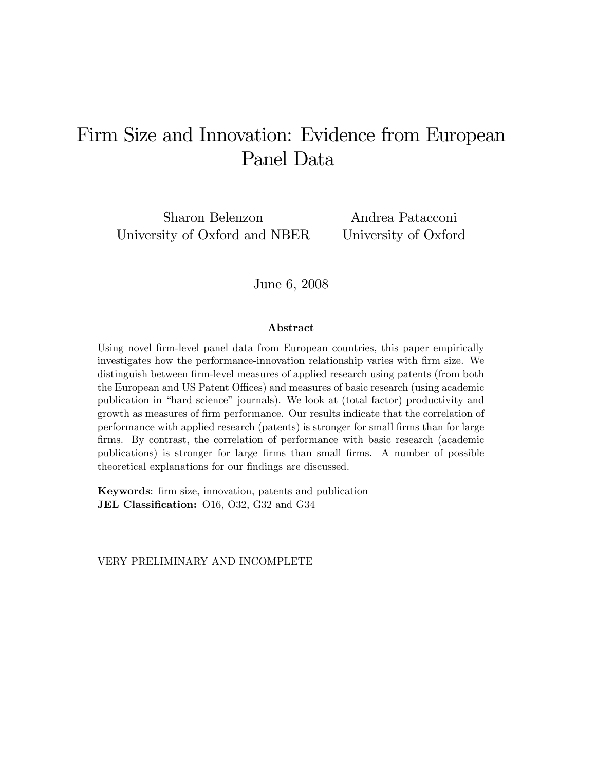# Firm Size and Innovation: Evidence from European Panel Data

Sharon Belenzon University of Oxford and NBER

Andrea Patacconi University of Oxford

June 6, 2008

#### Abstract

Using novel firm-level panel data from European countries, this paper empirically investigates how the performance-innovation relationship varies with firm size. We distinguish between firm-level measures of applied research using patents (from both the European and US Patent Offices) and measures of basic research (using academic publication in "hard science" journals). We look at (total factor) productivity and growth as measures of Örm performance. Our results indicate that the correlation of performance with applied research (patents) is stronger for small firms than for large firms. By contrast, the correlation of performance with basic research (academic publications) is stronger for large firms than small firms. A number of possible theoretical explanations for our findings are discussed.

Keywords: firm size, innovation, patents and publication JEL Classification: O16, O32, G32 and G34

VERY PRELIMINARY AND INCOMPLETE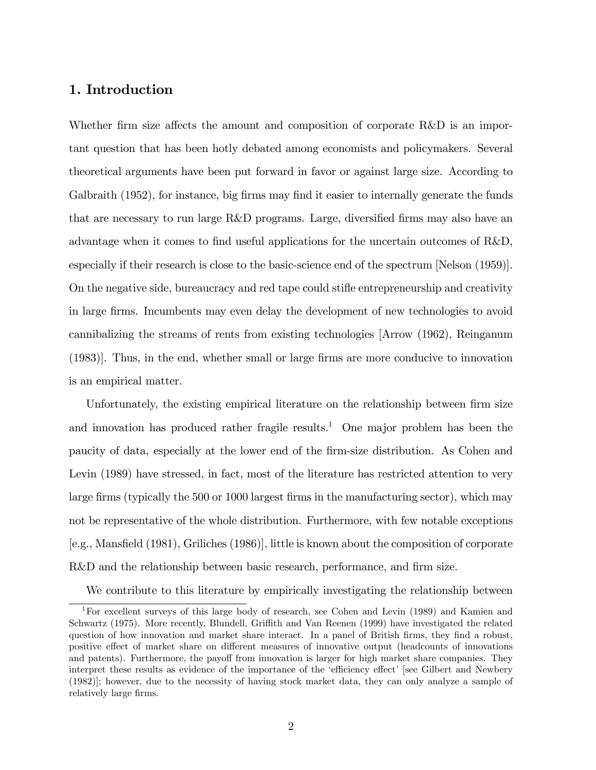#### 1. Introduction

Whether firm size affects the amount and composition of corporate  $R\&D$  is an important question that has been hotly debated among economists and policymakers. Several theoretical arguments have been put forward in favor or against large size. According to Galbraith (1952), for instance, big firms may find it easier to internally generate the funds that are necessary to run large R&D programs. Large, diversified firms may also have an advantage when it comes to find useful applications for the uncertain outcomes of R&D, especially if their research is close to the basic-science end of the spectrum [Nelson (1959)]. On the negative side, bureaucracy and red tape could stifle entrepreneurship and creativity in large Örms. Incumbents may even delay the development of new technologies to avoid cannibalizing the streams of rents from existing technologies [Arrow (1962), Reinganum (1983)]. Thus, in the end, whether small or large Örms are more conducive to innovation is an empirical matter.

Unfortunately, the existing empirical literature on the relationship between firm size and innovation has produced rather fragile results.<sup>1</sup> One major problem has been the paucity of data, especially at the lower end of the Örm-size distribution. As Cohen and Levin (1989) have stressed, in fact, most of the literature has restricted attention to very large firms (typically the 500 or 1000 largest firms in the manufacturing sector), which may not be representative of the whole distribution. Furthermore, with few notable exceptions  $[e.g.,$  Mansfield  $(1981),$  Griliches  $(1986)$ , little is known about the composition of corporate R&D and the relationship between basic research, performance, and firm size.

We contribute to this literature by empirically investigating the relationship between

<sup>1</sup>For excellent surveys of this large body of research, see Cohen and Levin (1989) and Kamien and Schwartz (1975). More recently, Blundell, Griffith and Van Reenen (1999) have investigated the related question of how innovation and market share interact. In a panel of British firms, they find a robust, positive effect of market share on different measures of innovative output (headcounts of innovations and patents). Furthermore, the payoff from innovation is larger for high market share companies. They interpret these results as evidence of the importance of the 'efficiency effect' [see Gilbert and Newbery (1982)]; however, due to the necessity of having stock market data, they can only analyze a sample of relatively large firms.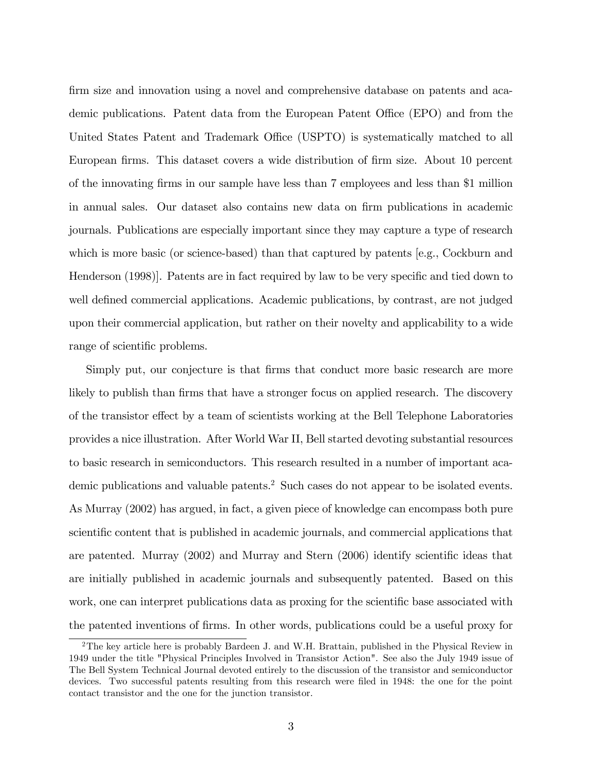firm size and innovation using a novel and comprehensive database on patents and academic publications. Patent data from the European Patent Office (EPO) and from the United States Patent and Trademark Office (USPTO) is systematically matched to all European firms. This dataset covers a wide distribution of firm size. About 10 percent of the innovating Örms in our sample have less than 7 employees and less than \$1 million in annual sales. Our dataset also contains new data on Örm publications in academic journals. Publications are especially important since they may capture a type of research which is more basic (or science-based) than that captured by patents [e.g., Cockburn and Henderson (1998). Patents are in fact required by law to be very specific and tied down to well defined commercial applications. Academic publications, by contrast, are not judged upon their commercial application, but rather on their novelty and applicability to a wide range of scientific problems.

Simply put, our conjecture is that firms that conduct more basic research are more likely to publish than firms that have a stronger focus on applied research. The discovery of the transistor effect by a team of scientists working at the Bell Telephone Laboratories provides a nice illustration. After World War II, Bell started devoting substantial resources to basic research in semiconductors. This research resulted in a number of important academic publications and valuable patents.<sup>2</sup> Such cases do not appear to be isolated events. As Murray (2002) has argued, in fact, a given piece of knowledge can encompass both pure scientific content that is published in academic journals, and commercial applications that are patented. Murray  $(2002)$  and Murray and Stern  $(2006)$  identify scientific ideas that are initially published in academic journals and subsequently patented. Based on this work, one can interpret publications data as proxing for the scientific base associated with the patented inventions of firms. In other words, publications could be a useful proxy for

<sup>2</sup>The key article here is probably Bardeen J. and W.H. Brattain, published in the Physical Review in 1949 under the title "Physical Principles Involved in Transistor Action". See also the July 1949 issue of The Bell System Technical Journal devoted entirely to the discussion of the transistor and semiconductor devices. Two successful patents resulting from this research were filed in 1948: the one for the point contact transistor and the one for the junction transistor.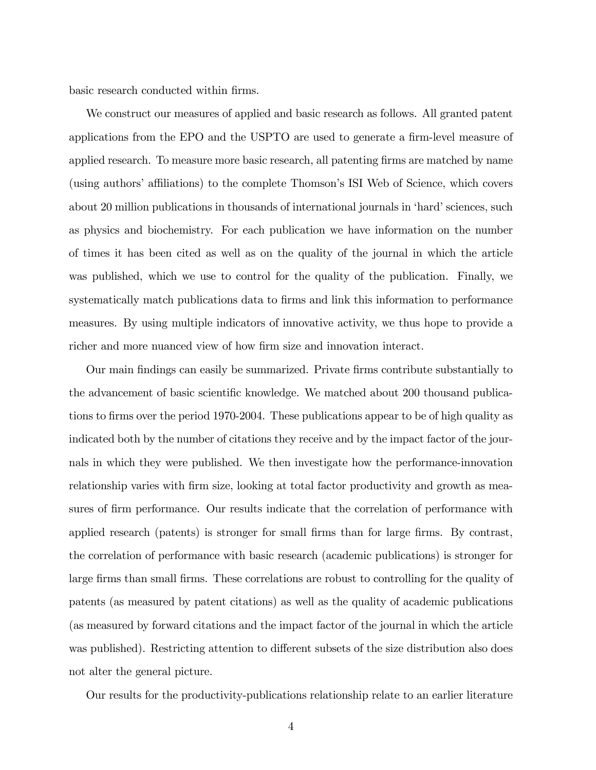basic research conducted within Örms.

We construct our measures of applied and basic research as follows. All granted patent applications from the EPO and the USPTO are used to generate a firm-level measure of applied research. To measure more basic research, all patenting firms are matched by name (using authors' affiliations) to the complete Thomson's ISI Web of Science, which covers about 20 million publications in thousands of international journals in 'hard' sciences, such as physics and biochemistry. For each publication we have information on the number of times it has been cited as well as on the quality of the journal in which the article was published, which we use to control for the quality of the publication. Finally, we systematically match publications data to firms and link this information to performance measures. By using multiple indicators of innovative activity, we thus hope to provide a richer and more nuanced view of how firm size and innovation interact.

Our main Öndings can easily be summarized. Private Örms contribute substantially to the advancement of basic scientific knowledge. We matched about 200 thousand publications to firms over the period 1970-2004. These publications appear to be of high quality as indicated both by the number of citations they receive and by the impact factor of the journals in which they were published. We then investigate how the performance-innovation relationship varies with firm size, looking at total factor productivity and growth as measures of firm performance. Our results indicate that the correlation of performance with applied research (patents) is stronger for small firms than for large firms. By contrast, the correlation of performance with basic research (academic publications) is stronger for large firms than small firms. These correlations are robust to controlling for the quality of patents (as measured by patent citations) as well as the quality of academic publications (as measured by forward citations and the impact factor of the journal in which the article was published). Restricting attention to different subsets of the size distribution also does not alter the general picture.

Our results for the productivity-publications relationship relate to an earlier literature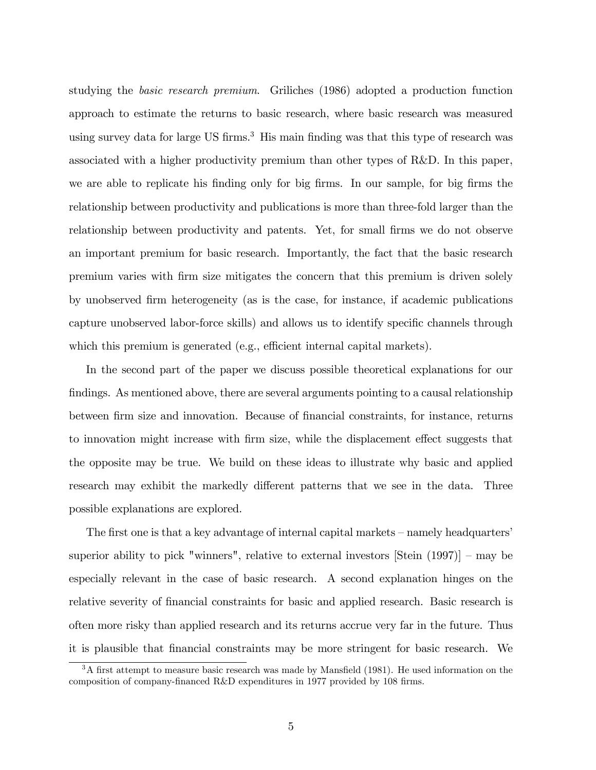studying the basic research premium. Griliches (1986) adopted a production function approach to estimate the returns to basic research, where basic research was measured using survey data for large US firms.<sup>3</sup> His main finding was that this type of research was associated with a higher productivity premium than other types of R&D. In this paper, we are able to replicate his finding only for big firms. In our sample, for big firms the relationship between productivity and publications is more than three-fold larger than the relationship between productivity and patents. Yet, for small Örms we do not observe an important premium for basic research. Importantly, the fact that the basic research premium varies with Örm size mitigates the concern that this premium is driven solely by unobserved Örm heterogeneity (as is the case, for instance, if academic publications capture unobserved labor-force skills) and allows us to identify specific channels through which this premium is generated  $(e.g., efficient internal capital markets)$ .

In the second part of the paper we discuss possible theoretical explanations for our findings. As mentioned above, there are several arguments pointing to a causal relationship between firm size and innovation. Because of financial constraints, for instance, returns to innovation might increase with firm size, while the displacement effect suggests that the opposite may be true. We build on these ideas to illustrate why basic and applied research may exhibit the markedly different patterns that we see in the data. Three possible explanations are explored.

The first one is that a key advantage of internal capital markets  $-$  namely headquarters<sup> $\dot{\ }$ </sup> superior ability to pick "winners", relative to external investors  $[Stein (1997)] -$  may be especially relevant in the case of basic research. A second explanation hinges on the relative severity of financial constraints for basic and applied research. Basic research is often more risky than applied research and its returns accrue very far in the future. Thus it is plausible that Önancial constraints may be more stringent for basic research. We

 $3A$  first attempt to measure basic research was made by Mansfield (1981). He used information on the composition of company-financed  $R&D$  expenditures in 1977 provided by 108 firms.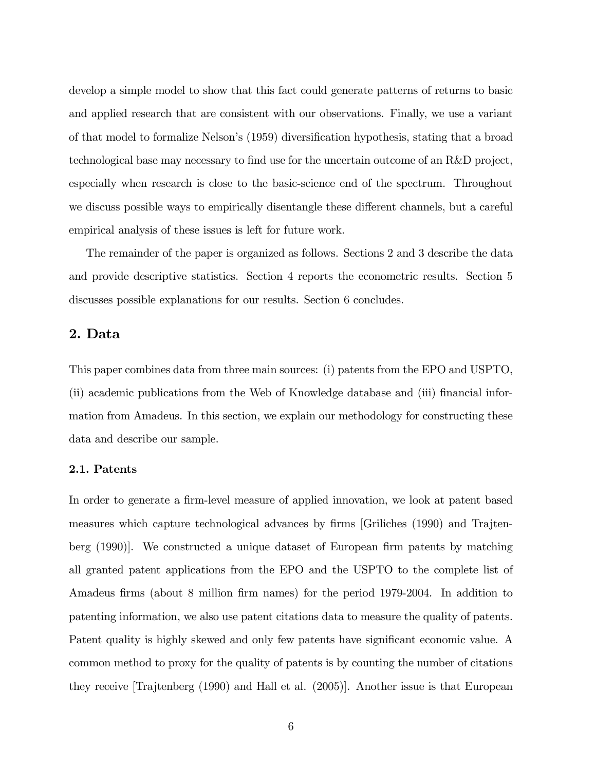develop a simple model to show that this fact could generate patterns of returns to basic and applied research that are consistent with our observations. Finally, we use a variant of that model to formalize Nelson's (1959) diversification hypothesis, stating that a broad technological base may necessary to find use for the uncertain outcome of an R&D project, especially when research is close to the basic-science end of the spectrum. Throughout we discuss possible ways to empirically disentangle these different channels, but a careful empirical analysis of these issues is left for future work.

The remainder of the paper is organized as follows. Sections 2 and 3 describe the data and provide descriptive statistics. Section 4 reports the econometric results. Section 5 discusses possible explanations for our results. Section 6 concludes.

#### 2. Data

This paper combines data from three main sources: (i) patents from the EPO and USPTO, (ii) academic publications from the Web of Knowledge database and (iii) Önancial information from Amadeus. In this section, we explain our methodology for constructing these data and describe our sample.

#### 2.1. Patents

In order to generate a firm-level measure of applied innovation, we look at patent based measures which capture technological advances by firms [Griliches (1990) and Trajtenberg  $(1990)$ . We constructed a unique dataset of European firm patents by matching all granted patent applications from the EPO and the USPTO to the complete list of Amadeus firms (about 8 million firm names) for the period 1979-2004. In addition to patenting information, we also use patent citations data to measure the quality of patents. Patent quality is highly skewed and only few patents have significant economic value. A common method to proxy for the quality of patents is by counting the number of citations they receive [Trajtenberg (1990) and Hall et al. (2005)]. Another issue is that European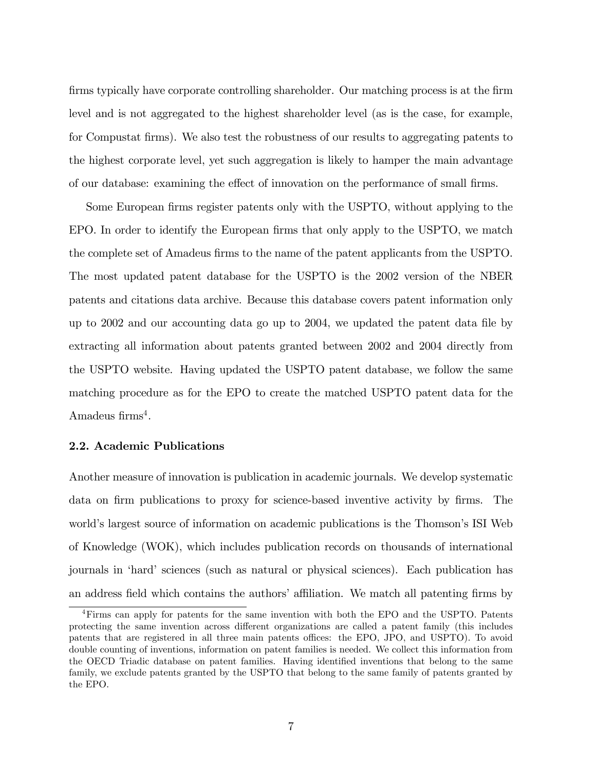firms typically have corporate controlling shareholder. Our matching process is at the firm level and is not aggregated to the highest shareholder level (as is the case, for example, for Compustat firms). We also test the robustness of our results to aggregating patents to the highest corporate level, yet such aggregation is likely to hamper the main advantage of our database: examining the effect of innovation on the performance of small firms.

Some European firms register patents only with the USPTO, without applying to the EPO. In order to identify the European firms that only apply to the USPTO, we match the complete set of Amadeus firms to the name of the patent applicants from the USPTO. The most updated patent database for the USPTO is the 2002 version of the NBER patents and citations data archive. Because this database covers patent information only up to 2002 and our accounting data go up to 2004, we updated the patent data Öle by extracting all information about patents granted between 2002 and 2004 directly from the USPTO website. Having updated the USPTO patent database, we follow the same matching procedure as for the EPO to create the matched USPTO patent data for the Amadeus firms<sup>4</sup>.

#### 2.2. Academic Publications

Another measure of innovation is publication in academic journals. We develop systematic data on firm publications to proxy for science-based inventive activity by firms. The world's largest source of information on academic publications is the Thomson's ISI Web of Knowledge (WOK), which includes publication records on thousands of international journals in ëhardí sciences (such as natural or physical sciences). Each publication has an address field which contains the authors' affiliation. We match all patenting firms by

<sup>4</sup>Firms can apply for patents for the same invention with both the EPO and the USPTO. Patents protecting the same invention across different organizations are called a patent family (this includes patents that are registered in all three main patents offices: the EPO, JPO, and USPTO). To avoid double counting of inventions, information on patent families is needed. We collect this information from the OECD Triadic database on patent families. Having identified inventions that belong to the same family, we exclude patents granted by the USPTO that belong to the same family of patents granted by the EPO.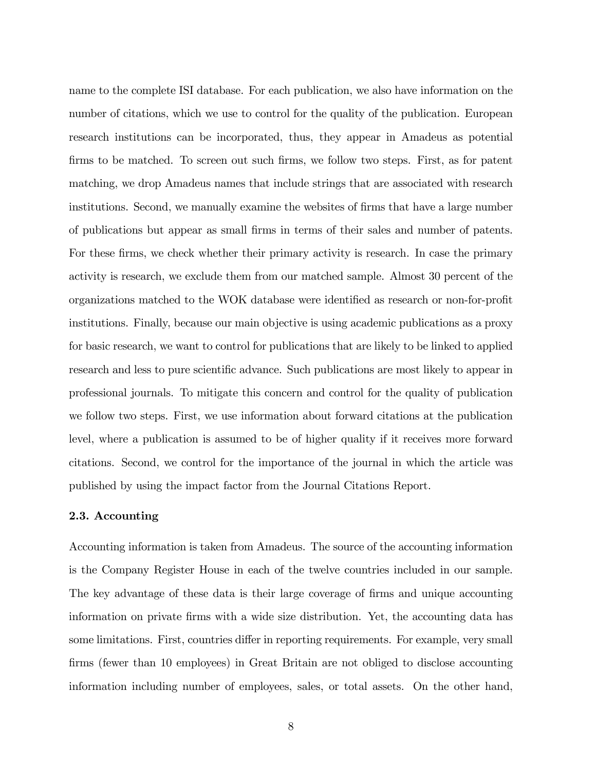name to the complete ISI database. For each publication, we also have information on the number of citations, which we use to control for the quality of the publication. European research institutions can be incorporated, thus, they appear in Amadeus as potential firms to be matched. To screen out such firms, we follow two steps. First, as for patent matching, we drop Amadeus names that include strings that are associated with research institutions. Second, we manually examine the websites of firms that have a large number of publications but appear as small Örms in terms of their sales and number of patents. For these firms, we check whether their primary activity is research. In case the primary activity is research, we exclude them from our matched sample. Almost 30 percent of the organizations matched to the WOK database were identified as research or non-for-profit institutions. Finally, because our main objective is using academic publications as a proxy for basic research, we want to control for publications that are likely to be linked to applied research and less to pure scientific advance. Such publications are most likely to appear in professional journals. To mitigate this concern and control for the quality of publication we follow two steps. First, we use information about forward citations at the publication level, where a publication is assumed to be of higher quality if it receives more forward citations. Second, we control for the importance of the journal in which the article was published by using the impact factor from the Journal Citations Report.

#### 2.3. Accounting

Accounting information is taken from Amadeus. The source of the accounting information is the Company Register House in each of the twelve countries included in our sample. The key advantage of these data is their large coverage of firms and unique accounting information on private Örms with a wide size distribution. Yet, the accounting data has some limitations. First, countries differ in reporting requirements. For example, very small firms (fewer than 10 employees) in Great Britain are not obliged to disclose accounting information including number of employees, sales, or total assets. On the other hand,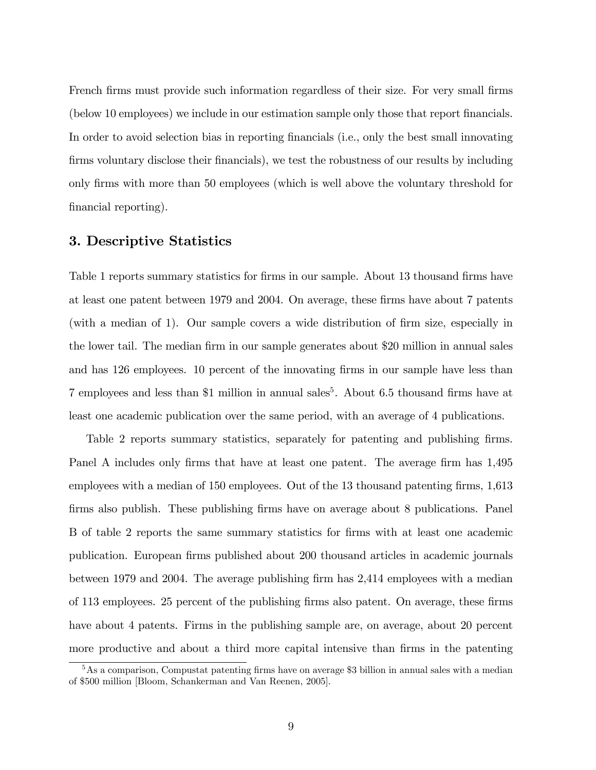French firms must provide such information regardless of their size. For very small firms (below 10 employees) we include in our estimation sample only those that report financials. In order to avoid selection bias in reporting financials (i.e., only the best small innovating firms voluntary disclose their financials), we test the robustness of our results by including only firms with more than 50 employees (which is well above the voluntary threshold for financial reporting).

#### 3. Descriptive Statistics

Table 1 reports summary statistics for firms in our sample. About 13 thousand firms have at least one patent between 1979 and 2004. On average, these firms have about 7 patents (with a median of 1). Our sample covers a wide distribution of firm size, especially in the lower tail. The median firm in our sample generates about \$20 million in annual sales and has 126 employees. 10 percent of the innovating firms in our sample have less than  $7$  employees and less than \$1 million in annual sales<sup>5</sup>. About 6.5 thousand firms have at least one academic publication over the same period, with an average of 4 publications.

Table 2 reports summary statistics, separately for patenting and publishing firms. Panel A includes only firms that have at least one patent. The average firm has  $1,495$ employees with a median of  $150$  employees. Out of the 13 thousand patenting firms,  $1,613$ firms also publish. These publishing firms have on average about 8 publications. Panel B of table 2 reports the same summary statistics for Örms with at least one academic publication. European Örms published about 200 thousand articles in academic journals between 1979 and 2004. The average publishing firm has  $2,414$  employees with a median of 113 employees. 25 percent of the publishing firms also patent. On average, these firms have about 4 patents. Firms in the publishing sample are, on average, about 20 percent more productive and about a third more capital intensive than firms in the patenting

 $5$ As a comparison, Compustat patenting firms have on average \$3 billion in annual sales with a median of \$500 million [Bloom, Schankerman and Van Reenen, 2005].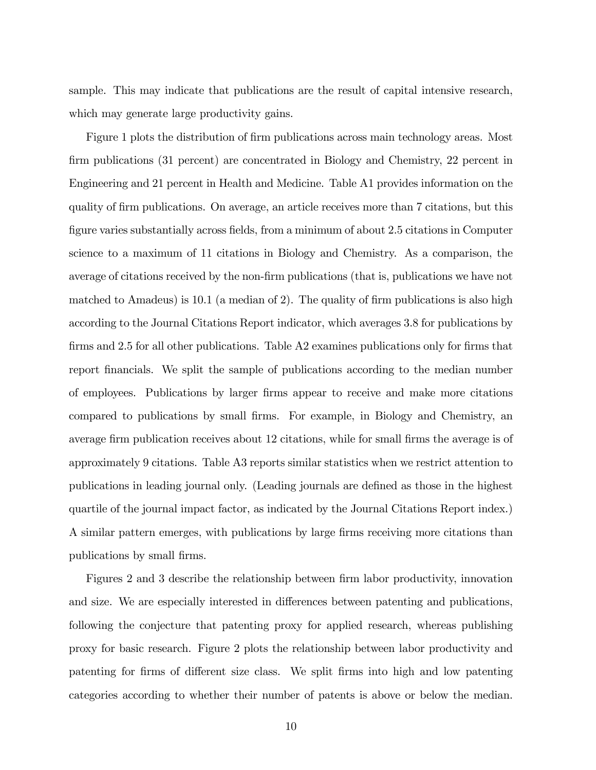sample. This may indicate that publications are the result of capital intensive research, which may generate large productivity gains.

Figure 1 plots the distribution of firm publications across main technology areas. Most firm publications (31 percent) are concentrated in Biology and Chemistry, 22 percent in Engineering and 21 percent in Health and Medicine. Table A1 provides information on the quality of Örm publications. On average, an article receives more than 7 citations, but this Ögure varies substantially across Öelds, from a minimum of about 2.5 citations in Computer science to a maximum of 11 citations in Biology and Chemistry. As a comparison, the average of citations received by the non-Örm publications (that is, publications we have not matched to Amadeus) is 10.1 (a median of 2). The quality of firm publications is also high according to the Journal Citations Report indicator, which averages 3.8 for publications by firms and 2.5 for all other publications. Table A2 examines publications only for firms that report Önancials. We split the sample of publications according to the median number of employees. Publications by larger Örms appear to receive and make more citations compared to publications by small firms. For example, in Biology and Chemistry, an average firm publication receives about 12 citations, while for small firms the average is of approximately 9 citations. Table A3 reports similar statistics when we restrict attention to publications in leading journal only. (Leading journals are defined as those in the highest quartile of the journal impact factor, as indicated by the Journal Citations Report index.) A similar pattern emerges, with publications by large firms receiving more citations than publications by small Örms.

Figures 2 and 3 describe the relationship between firm labor productivity, innovation and size. We are especially interested in differences between patenting and publications, following the conjecture that patenting proxy for applied research, whereas publishing proxy for basic research. Figure 2 plots the relationship between labor productivity and patenting for firms of different size class. We split firms into high and low patenting categories according to whether their number of patents is above or below the median.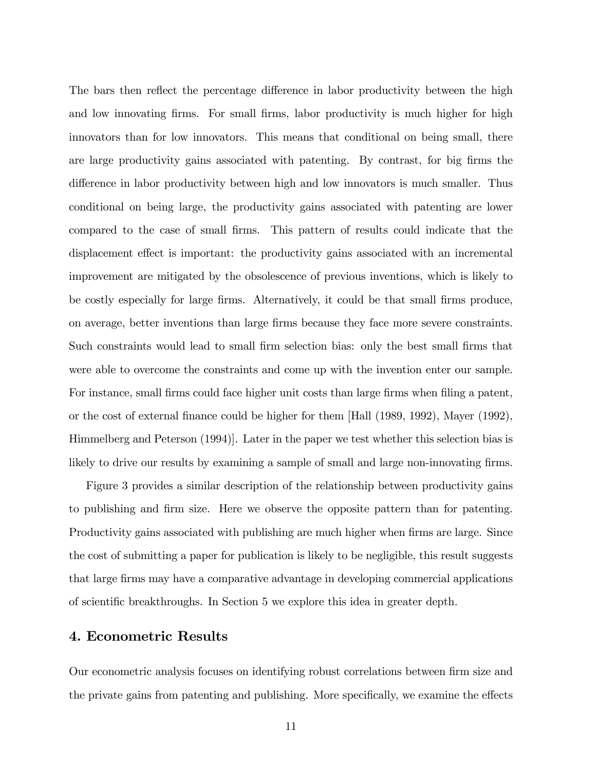The bars then reflect the percentage difference in labor productivity between the high and low innovating firms. For small firms, labor productivity is much higher for high innovators than for low innovators. This means that conditional on being small, there are large productivity gains associated with patenting. By contrast, for big firms the difference in labor productivity between high and low innovators is much smaller. Thus conditional on being large, the productivity gains associated with patenting are lower compared to the case of small Örms. This pattern of results could indicate that the displacement effect is important: the productivity gains associated with an incremental improvement are mitigated by the obsolescence of previous inventions, which is likely to be costly especially for large firms. Alternatively, it could be that small firms produce, on average, better inventions than large Örms because they face more severe constraints. Such constraints would lead to small firm selection bias: only the best small firms that were able to overcome the constraints and come up with the invention enter our sample. For instance, small firms could face higher unit costs than large firms when filing a patent, or the cost of external finance could be higher for them [Hall (1989, 1992), Mayer (1992), Himmelberg and Peterson (1994)]. Later in the paper we test whether this selection bias is likely to drive our results by examining a sample of small and large non-innovating firms.

Figure 3 provides a similar description of the relationship between productivity gains to publishing and Örm size. Here we observe the opposite pattern than for patenting. Productivity gains associated with publishing are much higher when firms are large. Since the cost of submitting a paper for publication is likely to be negligible, this result suggests that large firms may have a comparative advantage in developing commercial applications of scientific breakthroughs. In Section 5 we explore this idea in greater depth.

#### 4. Econometric Results

Our econometric analysis focuses on identifying robust correlations between firm size and the private gains from patenting and publishing. More specifically, we examine the effects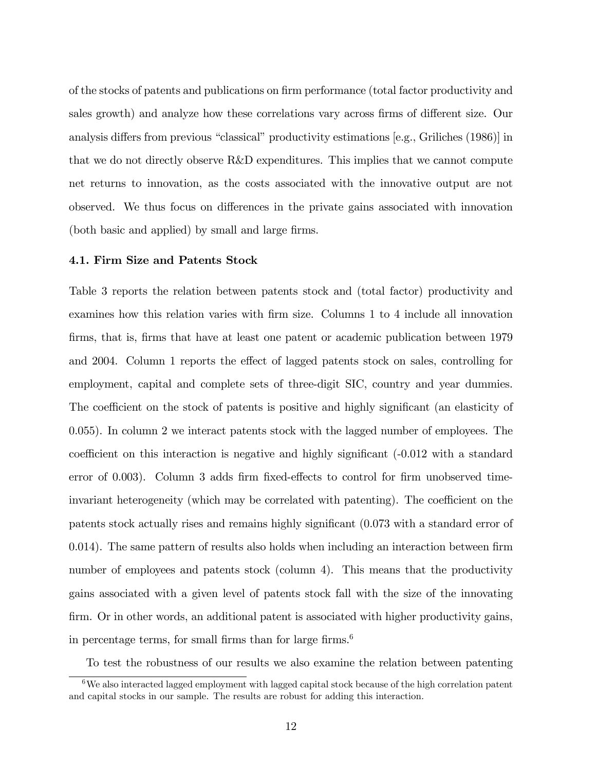of the stocks of patents and publications on Örm performance (total factor productivity and sales growth) and analyze how these correlations vary across firms of different size. Our analysis differs from previous "classical" productivity estimations  $[e.g., Griliches (1986)]$  in that we do not directly observe R&D expenditures. This implies that we cannot compute net returns to innovation, as the costs associated with the innovative output are not observed. We thus focus on differences in the private gains associated with innovation (both basic and applied) by small and large firms.

#### 4.1. Firm Size and Patents Stock

Table 3 reports the relation between patents stock and (total factor) productivity and examines how this relation varies with firm size. Columns 1 to 4 include all innovation Örms, that is, Örms that have at least one patent or academic publication between 1979 and 2004. Column 1 reports the effect of lagged patents stock on sales, controlling for employment, capital and complete sets of three-digit SIC, country and year dummies. The coefficient on the stock of patents is positive and highly significant (an elasticity of 0.055). In column 2 we interact patents stock with the lagged number of employees. The coefficient on this interaction is negative and highly significant  $(-0.012 \text{ with a standard})$ error of  $(0.003)$ . Column 3 adds firm fixed-effects to control for firm unobserved timeinvariant heterogeneity (which may be correlated with patenting). The coefficient on the patents stock actually rises and remains highly significant  $(0.073 \text{ with a standard error of})$  $0.014$ ). The same pattern of results also holds when including an interaction between firm number of employees and patents stock (column 4). This means that the productivity gains associated with a given level of patents stock fall with the size of the innovating firm. Or in other words, an additional patent is associated with higher productivity gains, in percentage terms, for small firms than for large firms.<sup>6</sup>

To test the robustness of our results we also examine the relation between patenting

<sup>6</sup>We also interacted lagged employment with lagged capital stock because of the high correlation patent and capital stocks in our sample. The results are robust for adding this interaction.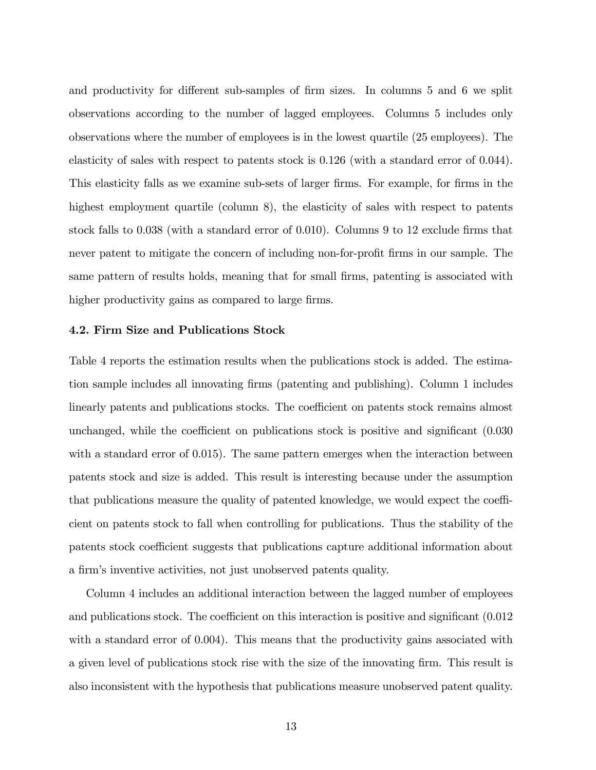and productivity for different sub-samples of firm sizes. In columns 5 and 6 we split observations according to the number of lagged employees. Columns 5 includes only observations where the number of employees is in the lowest quartile (25 employees). The elasticity of sales with respect to patents stock is 0.126 (with a standard error of 0.044). This elasticity falls as we examine sub-sets of larger firms. For example, for firms in the highest employment quartile (column 8), the elasticity of sales with respect to patents stock falls to  $0.038$  (with a standard error of  $0.010$ ). Columns 9 to 12 exclude firms that never patent to mitigate the concern of including non-for-profit firms in our sample. The same pattern of results holds, meaning that for small firms, patenting is associated with higher productivity gains as compared to large firms.

#### 4.2. Firm Size and Publications Stock

Table 4 reports the estimation results when the publications stock is added. The estimation sample includes all innovating Örms (patenting and publishing). Column 1 includes linearly patents and publications stocks. The coefficient on patents stock remains almost unchanged, while the coefficient on publications stock is positive and significant  $(0.030$ with a standard error of 0.015). The same pattern emerges when the interaction between patents stock and size is added. This result is interesting because under the assumption that publications measure the quality of patented knowledge, we would expect the coefficient on patents stock to fall when controlling for publications. Thus the stability of the patents stock coefficient suggests that publications capture additional information about a firm's inventive activities, not just unobserved patents quality.

Column 4 includes an additional interaction between the lagged number of employees and publications stock. The coefficient on this interaction is positive and significant  $(0.012)$ with a standard error of 0.004). This means that the productivity gains associated with a given level of publications stock rise with the size of the innovating firm. This result is also inconsistent with the hypothesis that publications measure unobserved patent quality.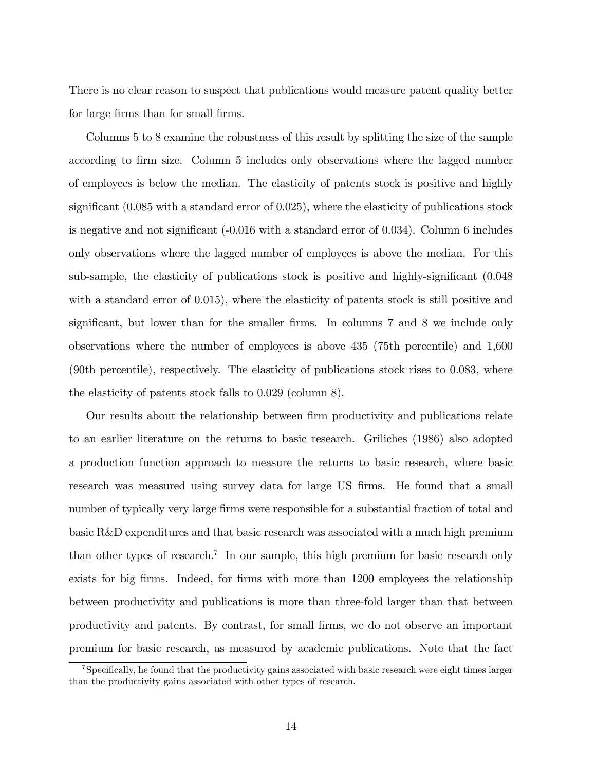There is no clear reason to suspect that publications would measure patent quality better for large firms than for small firms.

Columns 5 to 8 examine the robustness of this result by splitting the size of the sample according to firm size. Column 5 includes only observations where the lagged number of employees is below the median. The elasticity of patents stock is positive and highly significant  $(0.085 \text{ with a standard error of } 0.025)$ , where the elasticity of publications stock is negative and not significant  $(-0.016 \text{ with a standard error of } 0.034)$ . Column 6 includes only observations where the lagged number of employees is above the median. For this sub-sample, the elasticity of publications stock is positive and highly-significant  $(0.048$ with a standard error of 0.015), where the elasticity of patents stock is still positive and significant, but lower than for the smaller firms. In columns 7 and 8 we include only observations where the number of employees is above 435 (75th percentile) and 1,600 (90th percentile), respectively. The elasticity of publications stock rises to 0.083, where the elasticity of patents stock falls to 0.029 (column 8).

Our results about the relationship between firm productivity and publications relate to an earlier literature on the returns to basic research. Griliches (1986) also adopted a production function approach to measure the returns to basic research, where basic research was measured using survey data for large US firms. He found that a small number of typically very large firms were responsible for a substantial fraction of total and basic R&D expenditures and that basic research was associated with a much high premium than other types of research.<sup>7</sup> In our sample, this high premium for basic research only exists for big firms. Indeed, for firms with more than 1200 employees the relationship between productivity and publications is more than three-fold larger than that between productivity and patents. By contrast, for small Örms, we do not observe an important premium for basic research, as measured by academic publications. Note that the fact

<sup>&</sup>lt;sup>7</sup>Specifically, he found that the productivity gains associated with basic research were eight times larger than the productivity gains associated with other types of research.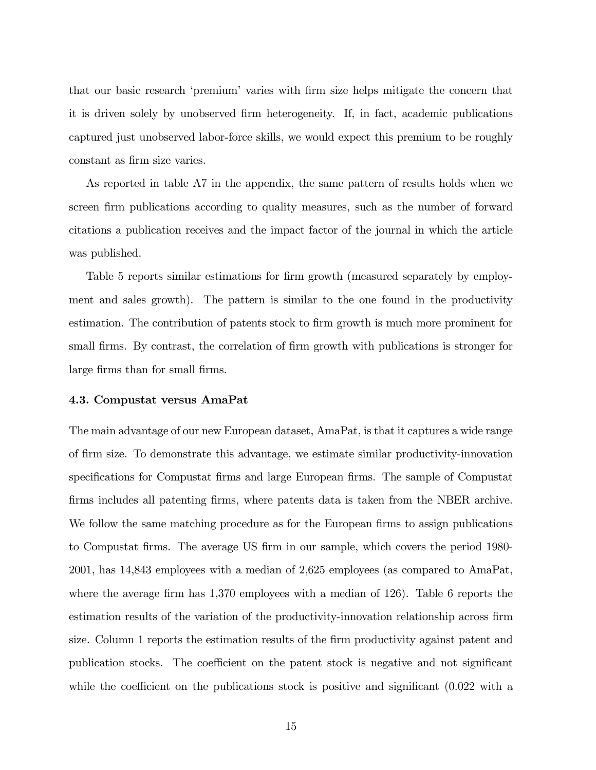that our basic research 'premium' varies with firm size helps mitigate the concern that it is driven solely by unobserved firm heterogeneity. If, in fact, academic publications captured just unobserved labor-force skills, we would expect this premium to be roughly constant as firm size varies.

As reported in table A7 in the appendix, the same pattern of results holds when we screen firm publications according to quality measures, such as the number of forward citations a publication receives and the impact factor of the journal in which the article was published.

Table 5 reports similar estimations for firm growth (measured separately by employment and sales growth). The pattern is similar to the one found in the productivity estimation. The contribution of patents stock to firm growth is much more prominent for small firms. By contrast, the correlation of firm growth with publications is stronger for large firms than for small firms.

#### 4.3. Compustat versus AmaPat

The main advantage of our new European dataset, AmaPat, is that it captures a wide range of Örm size. To demonstrate this advantage, we estimate similar productivity-innovation specifications for Compustat firms and large European firms. The sample of Compustat firms includes all patenting firms, where patents data is taken from the NBER archive. We follow the same matching procedure as for the European firms to assign publications to Compustat firms. The average US firm in our sample, which covers the period 1980-2001, has 14,843 employees with a median of 2,625 employees (as compared to AmaPat, where the average firm has  $1,370$  employees with a median of  $126$ ). Table 6 reports the estimation results of the variation of the productivity-innovation relationship across firm size. Column 1 reports the estimation results of the firm productivity against patent and publication stocks. The coefficient on the patent stock is negative and not significant while the coefficient on the publications stock is positive and significant  $(0.022 \text{ with a})$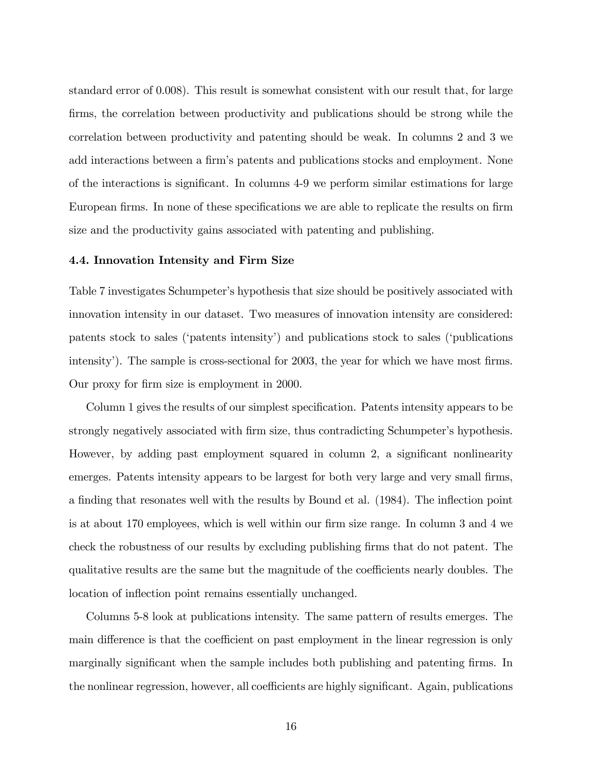standard error of 0.008). This result is somewhat consistent with our result that, for large firms, the correlation between productivity and publications should be strong while the correlation between productivity and patenting should be weak. In columns 2 and 3 we add interactions between a firm's patents and publications stocks and employment. None of the interactions is significant. In columns 4-9 we perform similar estimations for large European firms. In none of these specifications we are able to replicate the results on firm size and the productivity gains associated with patenting and publishing.

#### 4.4. Innovation Intensity and Firm Size

Table 7 investigates Schumpeter's hypothesis that size should be positively associated with innovation intensity in our dataset. Two measures of innovation intensity are considered: patents stock to sales (ëpatents intensityí) and publications stock to sales (ëpublications intensity'). The sample is cross-sectional for 2003, the year for which we have most firms. Our proxy for firm size is employment in 2000.

Column 1 gives the results of our simplest specification. Patents intensity appears to be strongly negatively associated with firm size, thus contradicting Schumpeter's hypothesis. However, by adding past employment squared in column 2, a significant nonlinearity emerges. Patents intensity appears to be largest for both very large and very small firms, a finding that resonates well with the results by Bound et al. (1984). The inflection point is at about 170 employees, which is well within our firm size range. In column 3 and 4 we check the robustness of our results by excluding publishing Örms that do not patent. The qualitative results are the same but the magnitude of the coefficients nearly doubles. The location of inflection point remains essentially unchanged.

Columns 5-8 look at publications intensity. The same pattern of results emerges. The main difference is that the coefficient on past employment in the linear regression is only marginally significant when the sample includes both publishing and patenting firms. In the nonlinear regression, however, all coefficients are highly significant. Again, publications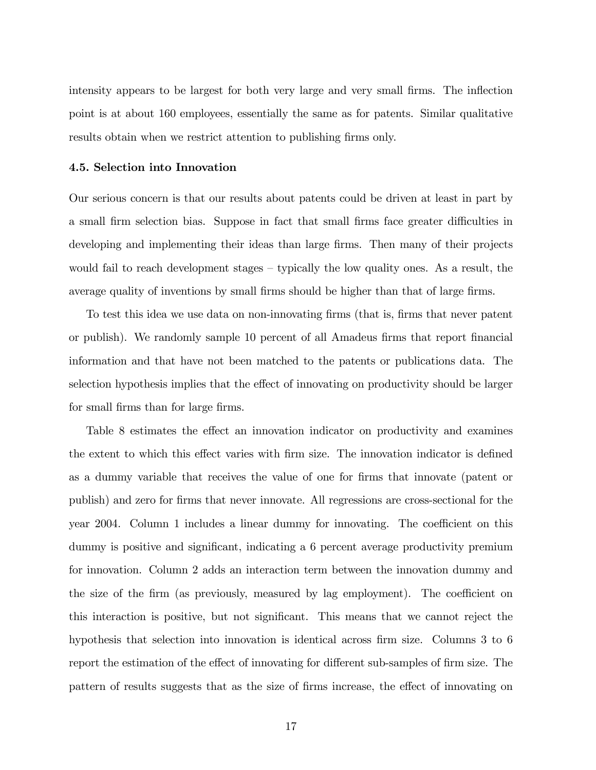intensity appears to be largest for both very large and very small firms. The inflection point is at about 160 employees, essentially the same as for patents. Similar qualitative results obtain when we restrict attention to publishing firms only.

#### 4.5. Selection into Innovation

Our serious concern is that our results about patents could be driven at least in part by a small firm selection bias. Suppose in fact that small firms face greater difficulties in developing and implementing their ideas than large firms. Then many of their projects would fail to reach development stages  $-$  typically the low quality ones. As a result, the average quality of inventions by small firms should be higher than that of large firms.

To test this idea we use data on non-innovating firms (that is, firms that never patent or publish). We randomly sample 10 percent of all Amadeus firms that report financial information and that have not been matched to the patents or publications data. The selection hypothesis implies that the effect of innovating on productivity should be larger for small firms than for large firms.

Table 8 estimates the effect an innovation indicator on productivity and examines the extent to which this effect varies with firm size. The innovation indicator is defined as a dummy variable that receives the value of one for firms that innovate (patent or publish) and zero for Örms that never innovate. All regressions are cross-sectional for the year 2004. Column 1 includes a linear dummy for innovating. The coefficient on this dummy is positive and significant, indicating a 6 percent average productivity premium for innovation. Column 2 adds an interaction term between the innovation dummy and the size of the firm (as previously, measured by lag employment). The coefficient on this interaction is positive, but not significant. This means that we cannot reject the hypothesis that selection into innovation is identical across firm size. Columns 3 to 6 report the estimation of the effect of innovating for different sub-samples of firm size. The pattern of results suggests that as the size of firms increase, the effect of innovating on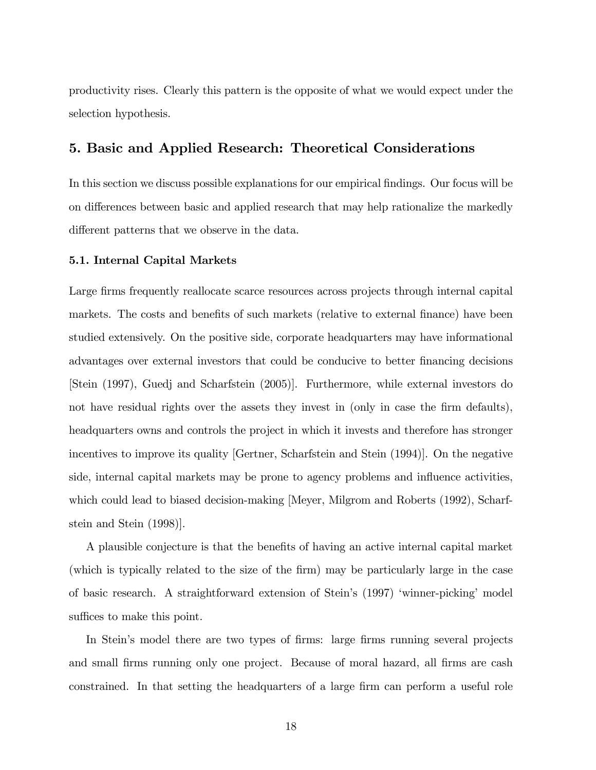productivity rises. Clearly this pattern is the opposite of what we would expect under the selection hypothesis.

#### 5. Basic and Applied Research: Theoretical Considerations

In this section we discuss possible explanations for our empirical findings. Our focus will be on differences between basic and applied research that may help rationalize the markedly different patterns that we observe in the data.

#### 5.1. Internal Capital Markets

Large firms frequently reallocate scarce resources across projects through internal capital markets. The costs and benefits of such markets (relative to external finance) have been studied extensively. On the positive side, corporate headquarters may have informational advantages over external investors that could be conducive to better financing decisions [Stein (1997), Guedj and Scharfstein (2005)]. Furthermore, while external investors do not have residual rights over the assets they invest in (only in case the firm defaults), headquarters owns and controls the project in which it invests and therefore has stronger incentives to improve its quality [Gertner, Scharfstein and Stein (1994)]. On the negative side, internal capital markets may be prone to agency problems and influence activities, which could lead to biased decision-making [Meyer, Milgrom and Roberts (1992), Scharfstein and Stein (1998)].

A plausible conjecture is that the benefits of having an active internal capital market (which is typically related to the size of the Örm) may be particularly large in the case of basic research. A straightforward extension of Stein's (1997) 'winner-picking' model suffices to make this point.

In Stein's model there are two types of firms: large firms running several projects and small firms running only one project. Because of moral hazard, all firms are cash constrained. In that setting the headquarters of a large firm can perform a useful role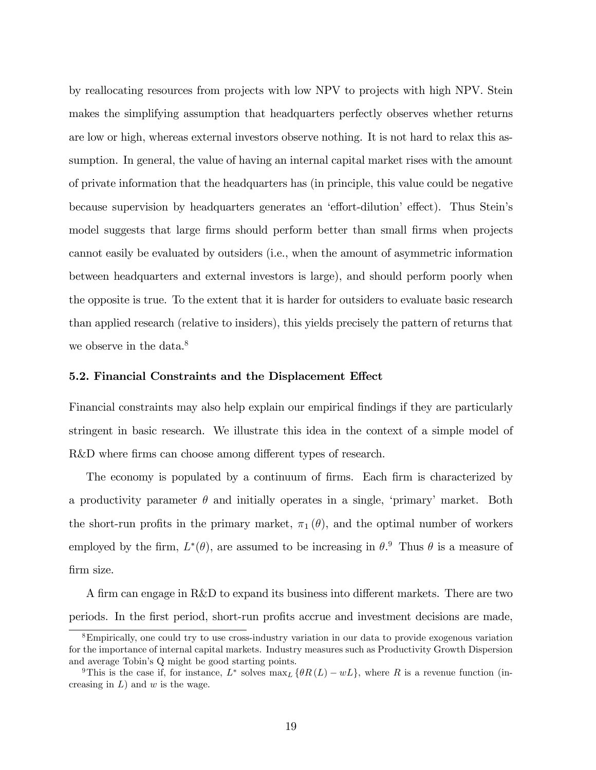by reallocating resources from projects with low NPV to projects with high NPV. Stein makes the simplifying assumption that headquarters perfectly observes whether returns are low or high, whereas external investors observe nothing. It is not hard to relax this assumption. In general, the value of having an internal capital market rises with the amount of private information that the headquarters has (in principle, this value could be negative because supervision by headquarters generates an 'effort-dilution' effect). Thus Stein's model suggests that large firms should perform better than small firms when projects cannot easily be evaluated by outsiders (i.e., when the amount of asymmetric information between headquarters and external investors is large), and should perform poorly when the opposite is true. To the extent that it is harder for outsiders to evaluate basic research than applied research (relative to insiders), this yields precisely the pattern of returns that we observe in the data.<sup>8</sup>

#### 5.2. Financial Constraints and the Displacement Effect

Financial constraints may also help explain our empirical Öndings if they are particularly stringent in basic research. We illustrate this idea in the context of a simple model of R&D where firms can choose among different types of research.

The economy is populated by a continuum of firms. Each firm is characterized by a productivity parameter  $\theta$  and initially operates in a single, 'primary' market. Both the short-run profits in the primary market,  $\pi_1 (\theta)$ , and the optimal number of workers employed by the firm,  $L^*(\theta)$ , are assumed to be increasing in  $\theta$ . Thus  $\theta$  is a measure of firm size.

A firm can engage in R&D to expand its business into different markets. There are two periods. In the first period, short-run profits accrue and investment decisions are made,

<sup>8</sup>Empirically, one could try to use cross-industry variation in our data to provide exogenous variation for the importance of internal capital markets. Industry measures such as Productivity Growth Dispersion and average Tobin's Q might be good starting points.

<sup>&</sup>lt;sup>9</sup>This is the case if, for instance,  $L^*$  solves  $\max_L {\theta R (L) - wL}$ , where R is a revenue function (increasing in  $L$ ) and  $w$  is the wage.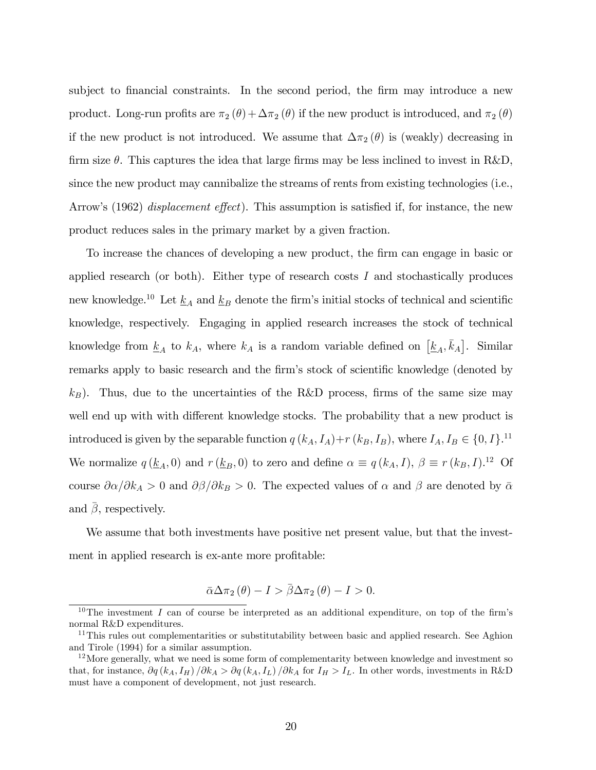subject to financial constraints. In the second period, the firm may introduce a new product. Long-run profits are  $\pi_2 (\theta) + \Delta \pi_2 (\theta)$  if the new product is introduced, and  $\pi_2 (\theta)$ if the new product is not introduced. We assume that  $\Delta \pi_2 (\theta)$  is (weakly) decreasing in firm size  $\theta$ . This captures the idea that large firms may be less inclined to invest in R&D, since the new product may cannibalize the streams of rents from existing technologies (i.e., Arrow's  $(1962)$  *displacement effect*). This assumption is satisfied if, for instance, the new product reduces sales in the primary market by a given fraction.

To increase the chances of developing a new product, the Örm can engage in basic or applied research (or both). Either type of research costs I and stochastically produces new knowledge.<sup>10</sup> Let  $\underline{k}_A$  and  $\underline{k}_B$  denote the firm's initial stocks of technical and scientific knowledge, respectively. Engaging in applied research increases the stock of technical knowledge from  $\underline{k}_A$  to  $k_A$ , where  $k_A$  is a random variable defined on  $[\underline{k}_A, \overline{k}_A]$ . Similar remarks apply to basic research and the firm's stock of scientific knowledge (denoted by  $k_B$ ). Thus, due to the uncertainties of the R&D process, firms of the same size may well end up with with different knowledge stocks. The probability that a new product is introduced is given by the separable function  $q(k_A, I_A) + r(k_B, I_B)$ , where  $I_A, I_B \in \{0, I\}$ .<sup>11</sup> We normalize  $q(k_A, 0)$  and  $r(k_B, 0)$  to zero and define  $\alpha \equiv q(k_A, I), \beta \equiv r(k_B, I).$ <sup>12</sup> Of course  $\partial \alpha / \partial k_A > 0$  and  $\partial \beta / \partial k_B > 0$ . The expected values of  $\alpha$  and  $\beta$  are denoted by  $\bar{\alpha}$ and  $\beta$ , respectively.

We assume that both investments have positive net present value, but that the investment in applied research is ex-ante more profitable:

$$
\bar{\alpha}\Delta\pi_2(\theta) - I > \bar{\beta}\Delta\pi_2(\theta) - I > 0.
$$

<sup>&</sup>lt;sup>10</sup>The investment I can of course be interpreted as an additional expenditure, on top of the firm's normal R&D expenditures.

<sup>&</sup>lt;sup>11</sup>This rules out complementarities or substitutability between basic and applied research. See Aghion and Tirole (1994) for a similar assumption.

 $12$  More generally, what we need is some form of complementarity between knowledge and investment so that, for instance,  $\partial q (k_A, I_H) / \partial k_A > \partial q (k_A, I_L) / \partial k_A$  for  $I_H > I_L$ . In other words, investments in R&D must have a component of development, not just research.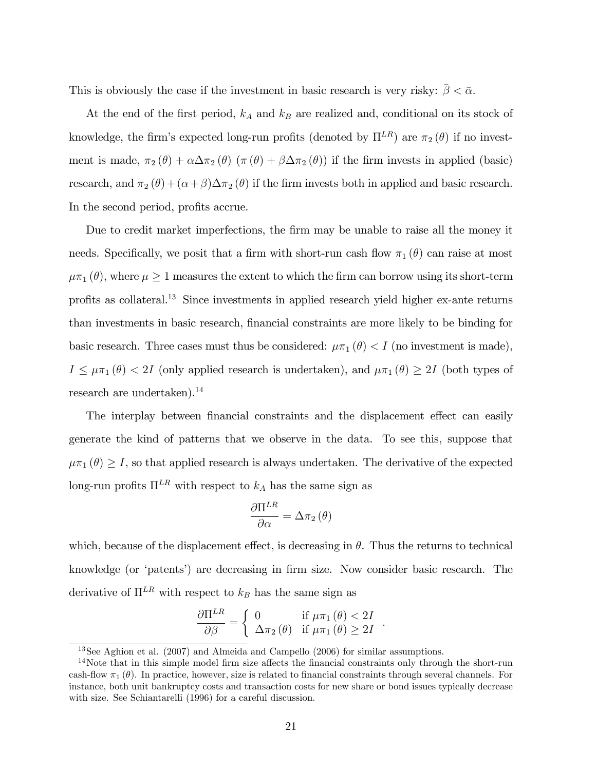This is obviously the case if the investment in basic research is very risky:  $\bar{\beta} < \bar{\alpha}$ .

At the end of the first period,  $k_A$  and  $k_B$  are realized and, conditional on its stock of knowledge, the firm's expected long-run profits (denoted by  $\Pi^{LR}$ ) are  $\pi_2(\theta)$  if no investment is made,  $\pi_2(\theta) + \alpha \Delta \pi_2(\theta) (\pi(\theta) + \beta \Delta \pi_2(\theta))$  if the firm invests in applied (basic) research, and  $\pi_2(\theta) + (\alpha + \beta)\Delta \pi_2(\theta)$  if the firm invests both in applied and basic research. In the second period, profits accrue.

Due to credit market imperfections, the firm may be unable to raise all the money it needs. Specifically, we posit that a firm with short-run cash flow  $\pi_1(\theta)$  can raise at most  $\mu\pi_1(\theta)$ , where  $\mu \geq 1$  measures the extent to which the firm can borrow using its short-term profits as collateral.<sup>13</sup> Since investments in applied research yield higher ex-ante returns than investments in basic research, financial constraints are more likely to be binding for basic research. Three cases must thus be considered:  $\mu \pi_1(\theta) < I$  (no investment is made),  $I \leq \mu \pi_1(\theta) < 2I$  (only applied research is undertaken), and  $\mu \pi_1(\theta) \geq 2I$  (both types of research are undertaken).<sup>14</sup>

The interplay between financial constraints and the displacement effect can easily generate the kind of patterns that we observe in the data. To see this, suppose that  $\mu\pi_1(\theta) \geq I$ , so that applied research is always undertaken. The derivative of the expected long-run profits  $\Pi^{LR}$  with respect to  $k_A$  has the same sign as

$$
\frac{\partial\Pi^{LR}}{\partial\alpha}=\Delta\pi_{2}\left(\theta\right)
$$

which, because of the displacement effect, is decreasing in  $\theta$ . Thus the returns to technical knowledge (or 'patents') are decreasing in firm size. Now consider basic research. The derivative of  $\Pi^{LR}$  with respect to  $k_B$  has the same sign as

$$
\frac{\partial \Pi^{LR}}{\partial \beta} = \begin{cases} 0 & \text{if } \mu \pi_1(\theta) < 2I \\ \Delta \pi_2(\theta) & \text{if } \mu \pi_1(\theta) \ge 2I \end{cases}
$$

:

<sup>13</sup>See Aghion et al. (2007) and Almeida and Campello (2006) for similar assumptions.

 $14$ Note that in this simple model firm size affects the financial constraints only through the short-run cash-flow  $\pi_1(\theta)$ . In practice, however, size is related to financial constraints through several channels. For instance, both unit bankruptcy costs and transaction costs for new share or bond issues typically decrease with size. See Schiantarelli (1996) for a careful discussion.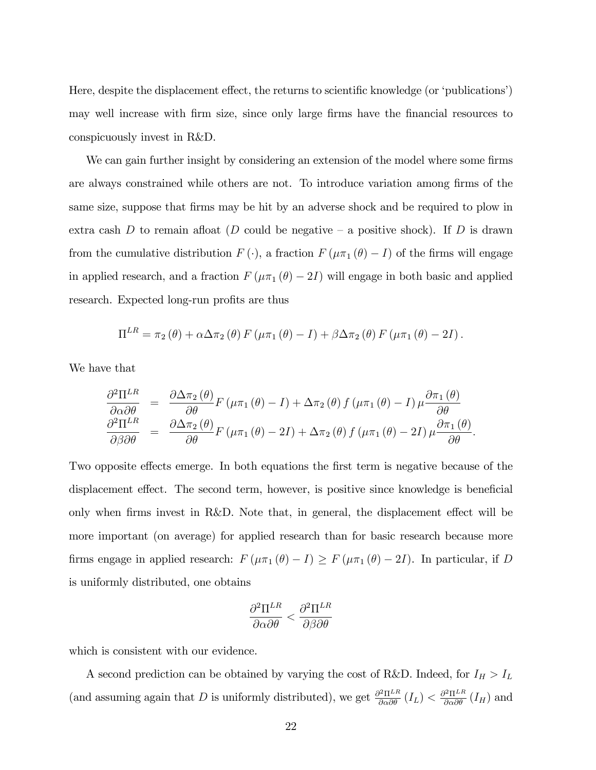Here, despite the displacement effect, the returns to scientific knowledge (or 'publications') may well increase with firm size, since only large firms have the financial resources to conspicuously invest in R&D.

We can gain further insight by considering an extension of the model where some firms are always constrained while others are not. To introduce variation among firms of the same size, suppose that firms may be hit by an adverse shock and be required to plow in extra cash D to remain afloat (D could be negative  $-$  a positive shock). If D is drawn from the cumulative distribution  $F(\cdot)$ , a fraction  $F(\mu \pi_1(\theta) - I)$  of the firms will engage in applied research, and a fraction  $F(\mu \pi_1(\theta) - 2I)$  will engage in both basic and applied research. Expected long-run profits are thus

$$
\Pi^{LR} = \pi_2(\theta) + \alpha \Delta \pi_2(\theta) F (\mu \pi_1(\theta) - I) + \beta \Delta \pi_2(\theta) F (\mu \pi_1(\theta) - 2I).
$$

We have that

$$
\frac{\partial^2 \Pi^{LR}}{\partial \alpha \partial \theta} = \frac{\partial \Delta \pi_2(\theta)}{\partial \theta} F (\mu \pi_1(\theta) - I) + \Delta \pi_2(\theta) f (\mu \pi_1(\theta) - I) \mu \frac{\partial \pi_1(\theta)}{\partial \theta} \n\frac{\partial^2 \Pi^{LR}}{\partial \beta \partial \theta} = \frac{\partial \Delta \pi_2(\theta)}{\partial \theta} F (\mu \pi_1(\theta) - 2I) + \Delta \pi_2(\theta) f (\mu \pi_1(\theta) - 2I) \mu \frac{\partial \pi_1(\theta)}{\partial \theta}.
$$

Two opposite effects emerge. In both equations the first term is negative because of the displacement effect. The second term, however, is positive since knowledge is beneficial only when firms invest in R&D. Note that, in general, the displacement effect will be more important (on average) for applied research than for basic research because more firms engage in applied research:  $F(\mu \pi_1(\theta) - I) \geq F(\mu \pi_1(\theta) - 2I)$ . In particular, if D is uniformly distributed, one obtains

$$
\frac{\partial^2 \Pi^{LR}}{\partial \alpha \partial \theta} < \frac{\partial^2 \Pi^{LR}}{\partial \beta \partial \theta}
$$

which is consistent with our evidence.

A second prediction can be obtained by varying the cost of R&D. Indeed, for  $I_H > I_L$ (and assuming again that D is uniformly distributed), we get  $\frac{\partial^2 \Pi^{LR}}{\partial \alpha \partial \theta} (I_L) < \frac{\partial^2 \Pi^{LR}}{\partial \alpha \partial \theta} (I_H)$  and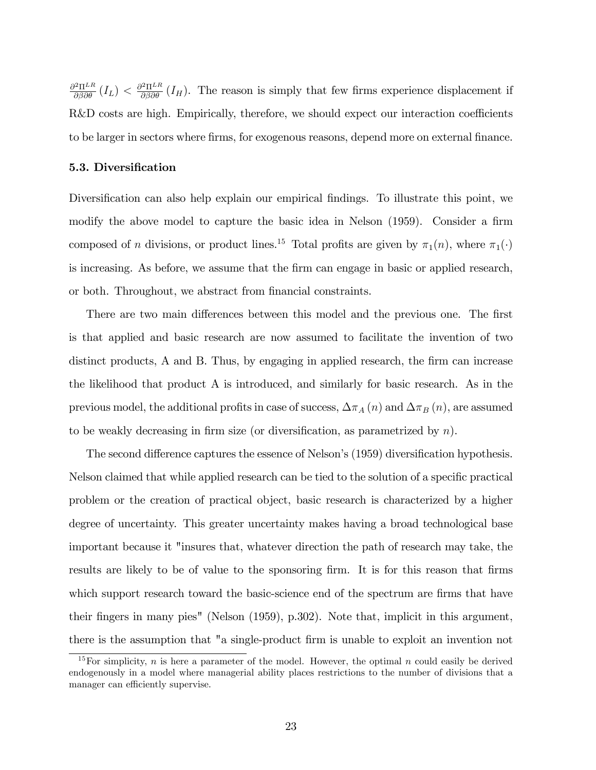$\frac{\partial^2 \Pi^{LR}}{\partial \beta \partial \theta} (I_L) < \frac{\partial^2 \Pi^{LR}}{\partial \beta \partial \theta} (I_H)$ . The reason is simply that few firms experience displacement if  $R&D$  costs are high. Empirically, therefore, we should expect our interaction coefficients to be larger in sectors where firms, for exogenous reasons, depend more on external finance.

#### 5.3. Diversification

Diversification can also help explain our empirical findings. To illustrate this point, we modify the above model to capture the basic idea in Nelson (1959). Consider a firm composed of n divisions, or product lines.<sup>15</sup> Total profits are given by  $\pi_1(n)$ , where  $\pi_1(\cdot)$ is increasing. As before, we assume that the Örm can engage in basic or applied research, or both. Throughout, we abstract from financial constraints.

There are two main differences between this model and the previous one. The first is that applied and basic research are now assumed to facilitate the invention of two distinct products, A and B. Thus, by engaging in applied research, the firm can increase the likelihood that product A is introduced, and similarly for basic research. As in the previous model, the additional profits in case of success,  $\Delta \pi_A(n)$  and  $\Delta \pi_B(n)$ , are assumed to be weakly decreasing in firm size (or diversification, as parametrized by  $n$ ).

The second difference captures the essence of Nelson's (1959) diversification hypothesis. Nelson claimed that while applied research can be tied to the solution of a specific practical problem or the creation of practical object, basic research is characterized by a higher degree of uncertainty. This greater uncertainty makes having a broad technological base important because it "insures that, whatever direction the path of research may take, the results are likely to be of value to the sponsoring firm. It is for this reason that firms which support research toward the basic-science end of the spectrum are firms that have their fingers in many pies" (Nelson (1959), p.302). Note that, implicit in this argument, there is the assumption that "a single-product Örm is unable to exploit an invention not

<sup>&</sup>lt;sup>15</sup>For simplicity, *n* is here a parameter of the model. However, the optimal *n* could easily be derived endogenously in a model where managerial ability places restrictions to the number of divisions that a manager can efficiently supervise.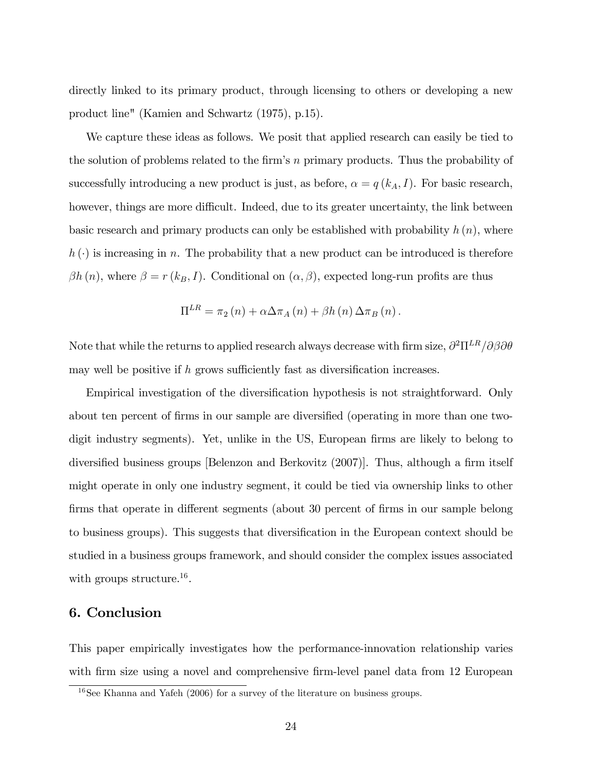directly linked to its primary product, through licensing to others or developing a new product line" (Kamien and Schwartz (1975), p.15).

We capture these ideas as follows. We posit that applied research can easily be tied to the solution of problems related to the firm's  $n$  primary products. Thus the probability of successfully introducing a new product is just, as before,  $\alpha = q(k_A, I)$ . For basic research, however, things are more difficult. Indeed, due to its greater uncertainty, the link between basic research and primary products can only be established with probability  $h(n)$ , where  $h(\cdot)$  is increasing in n. The probability that a new product can be introduced is therefore  $\beta h(n)$ , where  $\beta = r(k_B, I)$ . Conditional on  $(\alpha, \beta)$ , expected long-run profits are thus

$$
\Pi^{LR} = \pi_2(n) + \alpha \Delta \pi_A(n) + \beta h(n) \Delta \pi_B(n).
$$

Note that while the returns to applied research always decrease with firm size,  $\partial^2\Pi^{LR}/\partial\beta\partial\theta$ may well be positive if h grows sufficiently fast as diversification increases.

Empirical investigation of the diversification hypothesis is not straightforward. Only about ten percent of firms in our sample are diversified (operating in more than one twodigit industry segments). Yet, unlike in the US, European firms are likely to belong to diversified business groups [Belenzon and Berkovitz  $(2007)$ ]. Thus, although a firm itself might operate in only one industry segment, it could be tied via ownership links to other firms that operate in different segments (about 30 percent of firms in our sample belong to business groups). This suggests that diversification in the European context should be studied in a business groups framework, and should consider the complex issues associated with groups structure.<sup>16</sup>.

#### 6. Conclusion

This paper empirically investigates how the performance-innovation relationship varies with firm size using a novel and comprehensive firm-level panel data from 12 European

 $16$ See Khanna and Yafeh (2006) for a survey of the literature on business groups.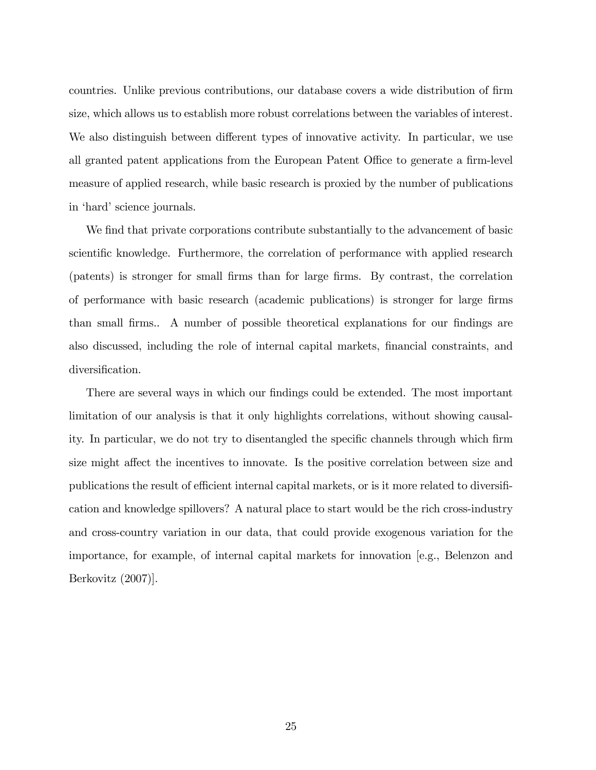countries. Unlike previous contributions, our database covers a wide distribution of firm size, which allows us to establish more robust correlations between the variables of interest. We also distinguish between different types of innovative activity. In particular, we use all granted patent applications from the European Patent Office to generate a firm-level measure of applied research, while basic research is proxied by the number of publications in 'hard' science journals.

We find that private corporations contribute substantially to the advancement of basic scientific knowledge. Furthermore, the correlation of performance with applied research (patents) is stronger for small Örms than for large Örms. By contrast, the correlation of performance with basic research (academic publications) is stronger for large firms than small firms.. A number of possible theoretical explanations for our findings are also discussed, including the role of internal capital markets, Önancial constraints, and diversification.

There are several ways in which our findings could be extended. The most important limitation of our analysis is that it only highlights correlations, without showing causality. In particular, we do not try to disentangled the specific channels through which firm size might affect the incentives to innovate. Is the positive correlation between size and publications the result of efficient internal capital markets, or is it more related to diversification and knowledge spillovers? A natural place to start would be the rich cross-industry and cross-country variation in our data, that could provide exogenous variation for the importance, for example, of internal capital markets for innovation [e.g., Belenzon and Berkovitz (2007)].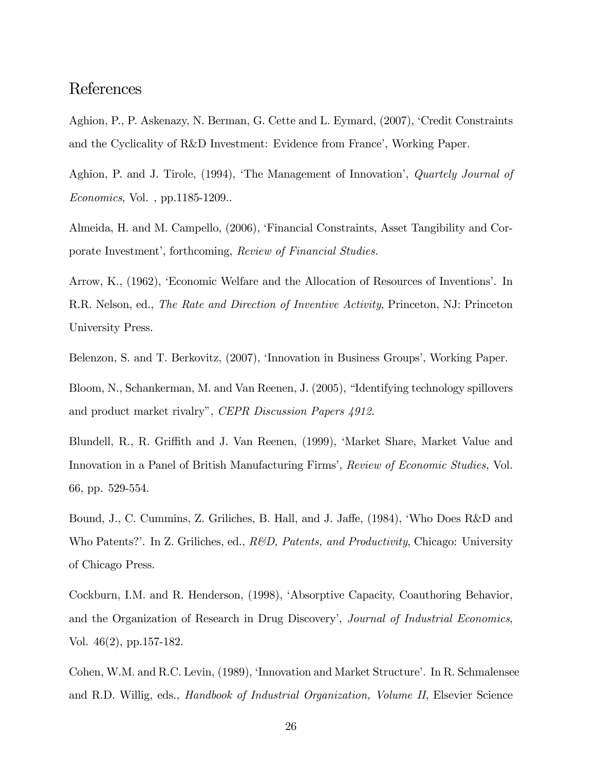# References

Aghion, P., P. Askenazy, N. Berman, G. Cette and L. Eymard, (2007), 'Credit Constraints and the Cyclicality of R&D Investment: Evidence from France', Working Paper.

Aghion, P. and J. Tirole, (1994), 'The Management of Innovation', *Quartely Journal of* Economics, Vol. , pp.1185-1209..

Almeida, H. and M. Campello, (2006), ëFinancial Constraints, Asset Tangibility and Corporate Investment', forthcoming, Review of Financial Studies.

Arrow, K., (1962), ëEconomic Welfare and the Allocation of Resources of Inventionsí. In R.R. Nelson, ed., The Rate and Direction of Inventive Activity, Princeton, NJ: Princeton University Press.

Belenzon, S. and T. Berkovitz, (2007), 'Innovation in Business Groups', Working Paper.

Bloom, N., Schankerman, M. and Van Reenen, J. (2005), "Identifying technology spillovers and product market rivalry", CEPR Discussion Papers 4912.

Blundell, R., R. Griffith and J. Van Reenen, (1999), 'Market Share, Market Value and Innovation in a Panel of British Manufacturing Firms', Review of Economic Studies, Vol. 66, pp. 529-554.

Bound, J., C. Cummins, Z. Griliches, B. Hall, and J. Jaffe, (1984), 'Who Does R&D and Who Patents?'. In Z. Griliches, ed.,  $R\&D$ , Patents, and Productivity, Chicago: University of Chicago Press.

Cockburn, I.M. and R. Henderson, (1998), ëAbsorptive Capacity, Coauthoring Behavior, and the Organization of Research in Drug Discovery', Journal of Industrial Economics, Vol. 46(2), pp.157-182.

Cohen, W.M. and R.C. Levin, (1989), 'Innovation and Market Structure'. In R. Schmalensee and R.D. Willig, eds., *Handbook of Industrial Organization, Volume II*, Elsevier Science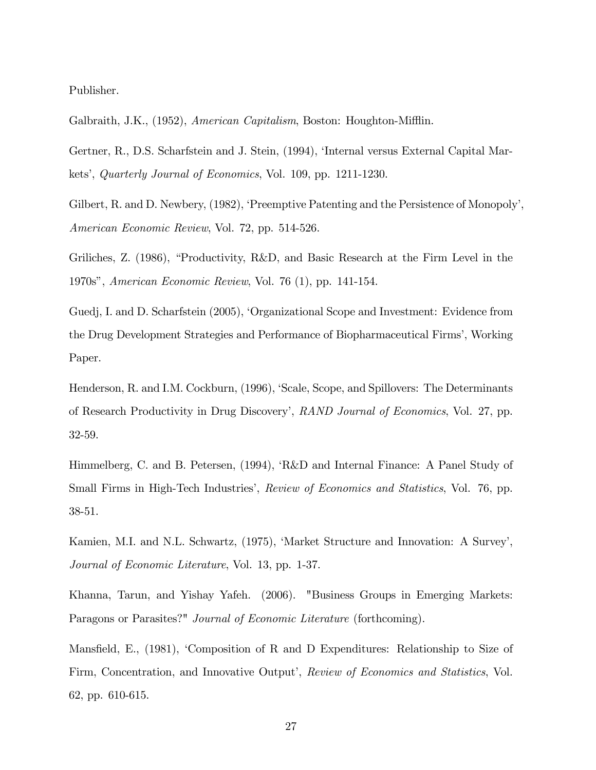Publisher.

Galbraith, J.K., (1952), *American Capitalism*, Boston: Houghton-Mifflin.

Gertner, R., D.S. Scharfstein and J. Stein, (1994), 'Internal versus External Capital Markets', *Quarterly Journal of Economics*, Vol. 109, pp. 1211-1230.

Gilbert, R. and D. Newbery, (1982), 'Preemptive Patenting and the Persistence of Monopoly', American Economic Review, Vol. 72, pp. 514-526.

Griliches, Z. (1986), "Productivity, R&D, and Basic Research at the Firm Level in the 1970sî, American Economic Review, Vol. 76 (1), pp. 141-154.

Guedj, I. and D. Scharfstein (2005), ëOrganizational Scope and Investment: Evidence from the Drug Development Strategies and Performance of Biopharmaceutical Firmsí, Working Paper.

Henderson, R. and I.M. Cockburn, (1996), 'Scale, Scope, and Spillovers: The Determinants of Research Productivity in Drug Discovery', RAND Journal of Economics, Vol. 27, pp. 32-59.

Himmelberg, C. and B. Petersen, (1994), ëR&D and Internal Finance: A Panel Study of Small Firms in High-Tech Industries', Review of Economics and Statistics, Vol. 76, pp. 38-51.

Kamien, M.I. and N.L. Schwartz, (1975), 'Market Structure and Innovation: A Survey', Journal of Economic Literature, Vol. 13, pp. 1-37.

Khanna, Tarun, and Yishay Yafeh. (2006). "Business Groups in Emerging Markets: Paragons or Parasites?" Journal of Economic Literature (forthcoming).

Mansfield, E.,  $(1981)$ , 'Composition of R and D Expenditures: Relationship to Size of Firm, Concentration, and Innovative Output', Review of Economics and Statistics, Vol. 62, pp. 610-615.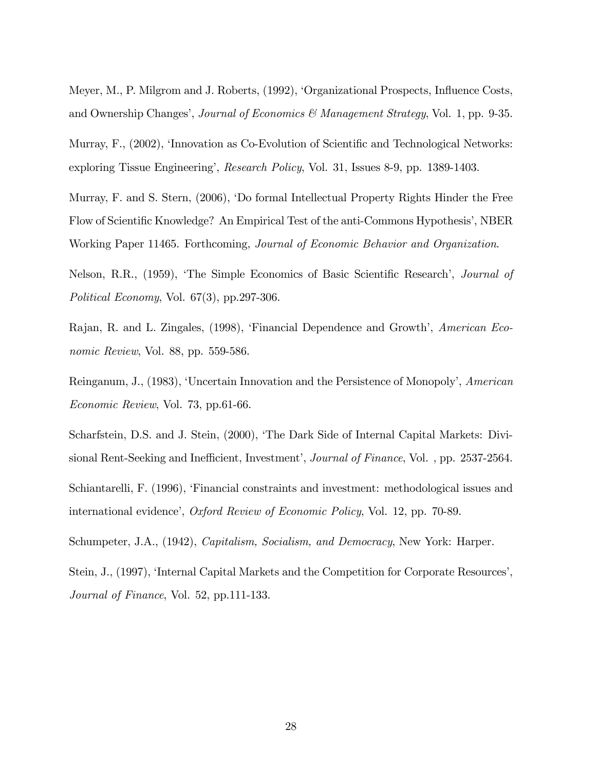Meyer, M., P. Milgrom and J. Roberts, (1992), 'Organizational Prospects, Influence Costs, and Ownership Changes', Journal of Economics & Management Strategy, Vol. 1, pp. 9-35.

Murray, F., (2002), 'Innovation as Co-Evolution of Scientific and Technological Networks: exploring Tissue Engineering', Research Policy, Vol. 31, Issues 8-9, pp. 1389-1403.

Murray, F. and S. Stern, (2006), ëDo formal Intellectual Property Rights Hinder the Free Flow of Scientific Knowledge? An Empirical Test of the anti-Commons Hypothesis', NBER Working Paper 11465. Forthcoming, Journal of Economic Behavior and Organization.

Nelson, R.R., (1959), 'The Simple Economics of Basic Scientific Research', *Journal of* Political Economy, Vol.  $67(3)$ , pp. 297-306.

Rajan, R. and L. Zingales, (1998), 'Financial Dependence and Growth', American Economic Review, Vol. 88, pp. 559-586.

Reinganum, J., (1983), 'Uncertain Innovation and the Persistence of Monopoly', American Economic Review, Vol. 73, pp.61-66.

Scharfstein, D.S. and J. Stein, (2000), ëThe Dark Side of Internal Capital Markets: Divisional Rent-Seeking and Inefficient, Investment', *Journal of Finance*, Vol., pp. 2537-2564.

Schiantarelli, F. (1996), ëFinancial constraints and investment: methodological issues and international evidence', Oxford Review of Economic Policy, Vol. 12, pp. 70-89.

Schumpeter, J.A., (1942), *Capitalism, Socialism, and Democracy*, New York: Harper.

Stein, J., (1997), 'Internal Capital Markets and the Competition for Corporate Resources', Journal of Finance, Vol. 52, pp.111-133.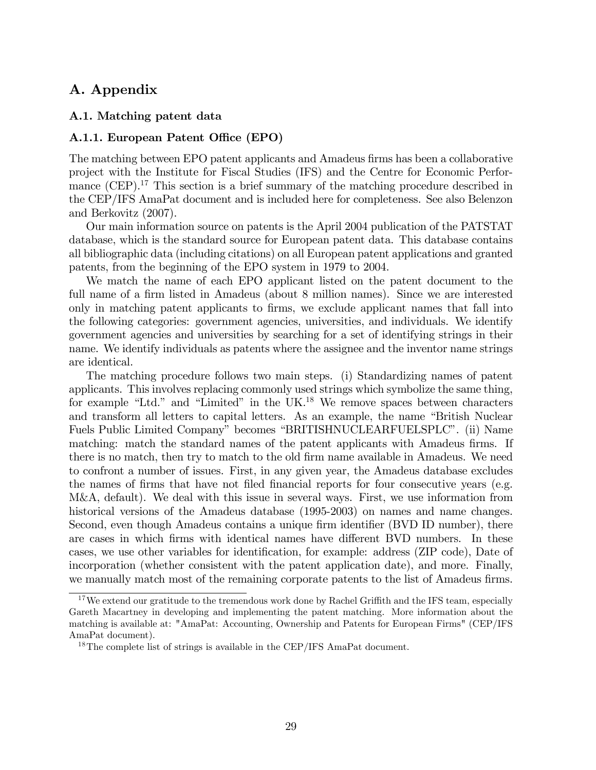### A. Appendix

#### A.1. Matching patent data

#### A.1.1. European Patent Office (EPO)

The matching between EPO patent applicants and Amadeus firms has been a collaborative project with the Institute for Fiscal Studies (IFS) and the Centre for Economic Performance  $(CEP)$ <sup>17</sup>. This section is a brief summary of the matching procedure described in the CEP/IFS AmaPat document and is included here for completeness. See also Belenzon and Berkovitz (2007).

Our main information source on patents is the April 2004 publication of the PATSTAT database, which is the standard source for European patent data. This database contains all bibliographic data (including citations) on all European patent applications and granted patents, from the beginning of the EPO system in 1979 to 2004.

We match the name of each EPO applicant listed on the patent document to the full name of a firm listed in Amadeus (about 8 million names). Since we are interested only in matching patent applicants to Örms, we exclude applicant names that fall into the following categories: government agencies, universities, and individuals. We identify government agencies and universities by searching for a set of identifying strings in their name. We identify individuals as patents where the assignee and the inventor name strings are identical.

The matching procedure follows two main steps. (i) Standardizing names of patent applicants. This involves replacing commonly used strings which symbolize the same thing, for example "Ltd." and "Limited" in the UK.<sup>18</sup> We remove spaces between characters and transform all letters to capital letters. As an example, the name "British Nuclear Fuels Public Limited Company" becomes "BRITISHNUCLEARFUELSPLC". (ii) Name matching: match the standard names of the patent applicants with Amadeus firms. If there is no match, then try to match to the old firm name available in Amadeus. We need to confront a number of issues. First, in any given year, the Amadeus database excludes the names of firms that have not filed financial reports for four consecutive years (e.g. M&A, default). We deal with this issue in several ways. First, we use information from historical versions of the Amadeus database (1995-2003) on names and name changes. Second, even though Amadeus contains a unique firm identifier (BVD ID number), there are cases in which firms with identical names have different BVD numbers. In these cases, we use other variables for identification, for example: address (ZIP code), Date of incorporation (whether consistent with the patent application date), and more. Finally, we manually match most of the remaining corporate patents to the list of Amadeus firms.

 $17$ We extend our gratitude to the tremendous work done by Rachel Griffith and the IFS team, especially Gareth Macartney in developing and implementing the patent matching. More information about the matching is available at: "AmaPat: Accounting, Ownership and Patents for European Firms" (CEP/IFS AmaPat document).

<sup>&</sup>lt;sup>18</sup>The complete list of strings is available in the CEP/IFS AmaPat document.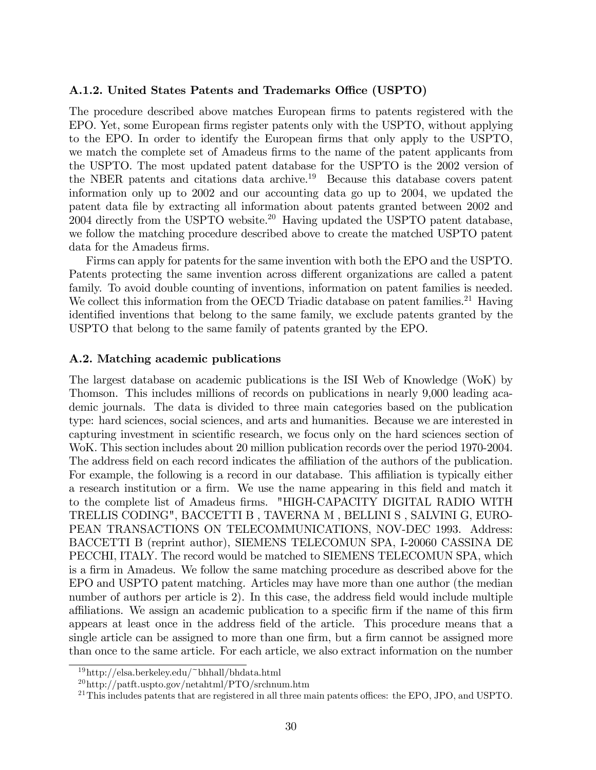#### A.1.2. United States Patents and Trademarks Office (USPTO)

The procedure described above matches European firms to patents registered with the EPO. Yet, some European firms register patents only with the USPTO, without applying to the EPO. In order to identify the European firms that only apply to the USPTO, we match the complete set of Amadeus firms to the name of the patent applicants from the USPTO. The most updated patent database for the USPTO is the 2002 version of the NBER patents and citations data archive.<sup>19</sup> Because this database covers patent information only up to 2002 and our accounting data go up to 2004, we updated the patent data Öle by extracting all information about patents granted between 2002 and 2004 directly from the USPTO website.<sup>20</sup> Having updated the USPTO patent database, we follow the matching procedure described above to create the matched USPTO patent data for the Amadeus firms.

Firms can apply for patents for the same invention with both the EPO and the USPTO. Patents protecting the same invention across different organizations are called a patent family. To avoid double counting of inventions, information on patent families is needed. We collect this information from the OECD Triadic database on patent families.<sup>21</sup> Having identified inventions that belong to the same family, we exclude patents granted by the USPTO that belong to the same family of patents granted by the EPO.

#### A.2. Matching academic publications

The largest database on academic publications is the ISI Web of Knowledge (WoK) by Thomson. This includes millions of records on publications in nearly 9,000 leading academic journals. The data is divided to three main categories based on the publication type: hard sciences, social sciences, and arts and humanities. Because we are interested in capturing investment in scientific research, we focus only on the hard sciences section of WoK. This section includes about 20 million publication records over the period 1970-2004. The address field on each record indicates the affiliation of the authors of the publication. For example, the following is a record in our database. This affiliation is typically either a research institution or a firm. We use the name appearing in this field and match it to the complete list of Amadeus firms. "HIGH-CAPACITY DIGITAL RADIO WITH TRELLIS CODING", BACCETTI B , TAVERNA M , BELLINI S , SALVINI G, EURO-PEAN TRANSACTIONS ON TELECOMMUNICATIONS, NOV-DEC 1993. Address: BACCETTI B (reprint author), SIEMENS TELECOMUN SPA, I-20060 CASSINA DE PECCHI, ITALY. The record would be matched to SIEMENS TELECOMUN SPA, which is a firm in Amadeus. We follow the same matching procedure as described above for the EPO and USPTO patent matching. Articles may have more than one author (the median number of authors per article is 2). In this case, the address field would include multiple affiliations. We assign an academic publication to a specific firm if the name of this firm appears at least once in the address field of the article. This procedure means that a single article can be assigned to more than one firm, but a firm cannot be assigned more than once to the same article. For each article, we also extract information on the number

<sup>19</sup>http://elsa.berkeley.edu/~bhhall/bhdata.html

<sup>20</sup>http://patft.uspto.gov/netahtml/PTO/srchnum.htm

 $^{21}$ This includes patents that are registered in all three main patents offices: the EPO, JPO, and USPTO.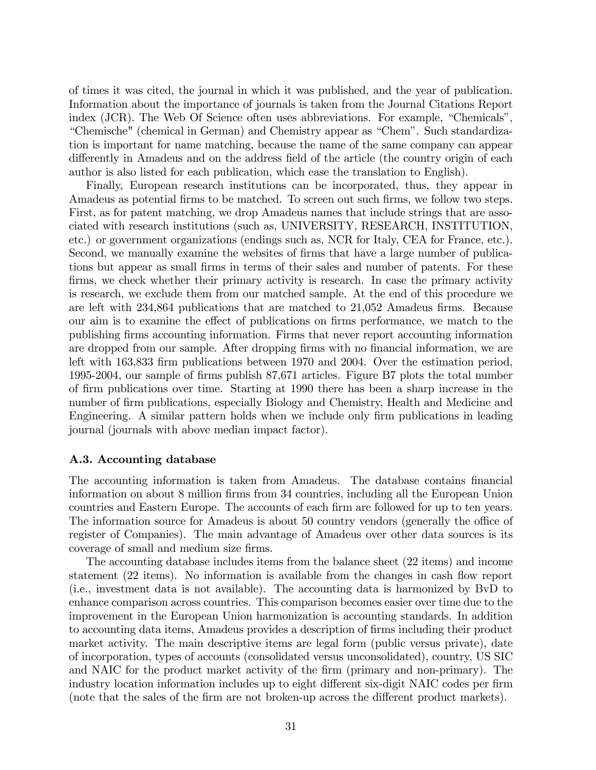of times it was cited, the journal in which it was published, and the year of publication. Information about the importance of journals is taken from the Journal Citations Report index  $JCR$ ). The Web Of Science often uses abbreviations. For example, "Chemicals", "Chemische" (chemical in German) and Chemistry appear as "Chem". Such standardization is important for name matching, because the name of the same company can appear differently in Amadeus and on the address field of the article (the country origin of each author is also listed for each publication, which ease the translation to English).

Finally, European research institutions can be incorporated, thus, they appear in Amadeus as potential firms to be matched. To screen out such firms, we follow two steps. First, as for patent matching, we drop Amadeus names that include strings that are associated with research institutions (such as, UNIVERSITY, RESEARCH, INSTITUTION, etc.) or government organizations (endings such as, NCR for Italy, CEA for France, etc.). Second, we manually examine the websites of firms that have a large number of publications but appear as small Örms in terms of their sales and number of patents. For these firms, we check whether their primary activity is research. In case the primary activity is research, we exclude them from our matched sample. At the end of this procedure we are left with  $234,864$  publications that are matched to  $21,052$  Amadeus firms. Because our aim is to examine the effect of publications on firms performance, we match to the publishing Örms accounting information. Firms that never report accounting information are dropped from our sample. After dropping firms with no financial information, we are left with 163,833 firm publications between 1970 and 2004. Over the estimation period, 1995-2004, our sample of Örms publish 87,671 articles. Figure B7 plots the total number of Örm publications over time. Starting at 1990 there has been a sharp increase in the number of firm publications, especially Biology and Chemistry, Health and Medicine and Engineering. A similar pattern holds when we include only firm publications in leading journal (journals with above median impact factor).

#### A.3. Accounting database

The accounting information is taken from Amadeus. The database contains financial information on about 8 million Örms from 34 countries, including all the European Union countries and Eastern Europe. The accounts of each firm are followed for up to ten years. The information source for Amadeus is about 50 country vendors (generally the office of register of Companies). The main advantage of Amadeus over other data sources is its coverage of small and medium size firms.

The accounting database includes items from the balance sheet (22 items) and income statement (22 items). No information is available from the changes in cash flow report (i.e., investment data is not available). The accounting data is harmonized by BvD to enhance comparison across countries. This comparison becomes easier over time due to the improvement in the European Union harmonization is accounting standards. In addition to accounting data items, Amadeus provides a description of firms including their product market activity. The main descriptive items are legal form (public versus private), date of incorporation, types of accounts (consolidated versus unconsolidated), country, US SIC and NAIC for the product market activity of the firm (primary and non-primary). The industry location information includes up to eight different six-digit NAIC codes per firm (note that the sales of the firm are not broken-up across the different product markets).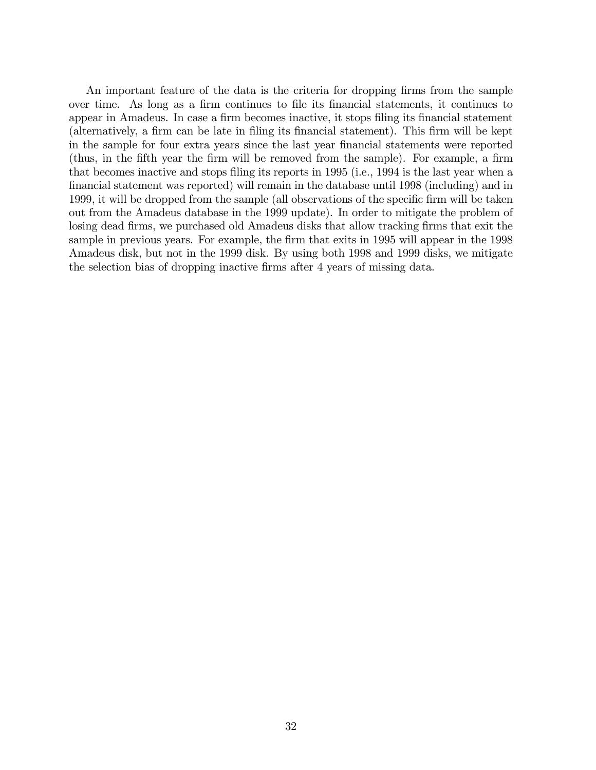An important feature of the data is the criteria for dropping firms from the sample over time. As long as a firm continues to file its financial statements, it continues to appear in Amadeus. In case a firm becomes inactive, it stops filing its financial statement (alternatively, a firm can be late in filing its financial statement). This firm will be kept in the sample for four extra years since the last year Önancial statements were reported (thus, in the fifth year the firm will be removed from the sample). For example, a firm that becomes inactive and stops filing its reports in 1995 (i.e., 1994 is the last year when a Önancial statement was reported) will remain in the database until 1998 (including) and in 1999, it will be dropped from the sample (all observations of the specific firm will be taken out from the Amadeus database in the 1999 update). In order to mitigate the problem of losing dead firms, we purchased old Amadeus disks that allow tracking firms that exit the sample in previous years. For example, the firm that exits in 1995 will appear in the 1998 Amadeus disk, but not in the 1999 disk. By using both 1998 and 1999 disks, we mitigate the selection bias of dropping inactive firms after 4 years of missing data.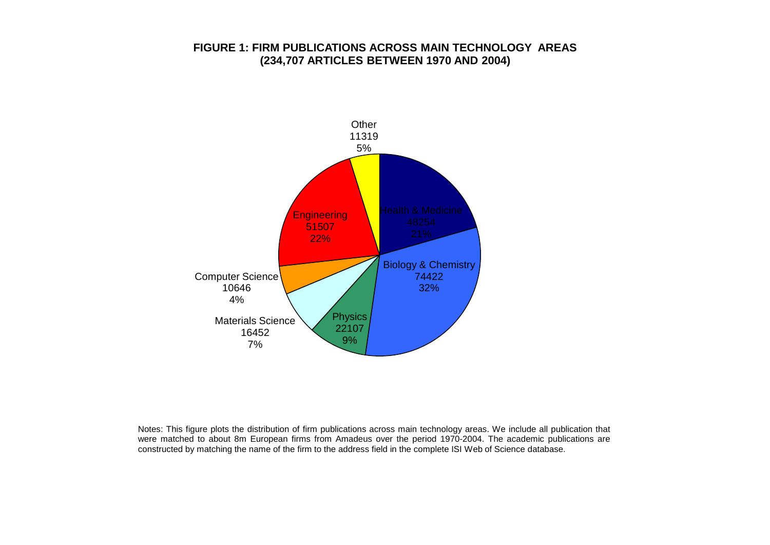### **FIGURE 1: FIRM PUBLICATIONS ACROSS MAIN TECHNOLOGY AREAS (234,707 ARTICLES BETWEEN 1970 AND 2004)**



Notes: This figure plots the distribution of firm publications across main technology areas. We include all publication that were matched to about 8m European firms from Amadeus over the period 1970-2004. The academic publications are constructed by matching the name of the firm to the address field in the complete ISI Web of Science database.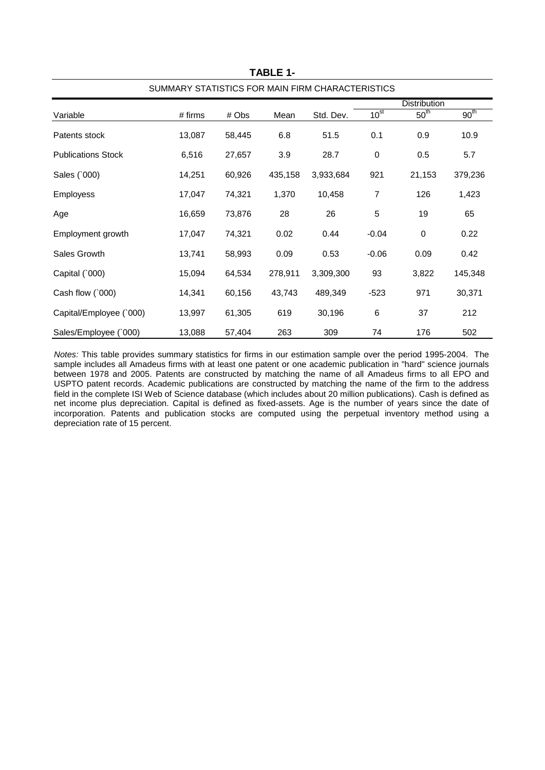| SUMMARY STATISTICS FOR MAIN FIRM CHARACTERISTICS |         |        |         |           |           |                     |                  |  |  |  |
|--------------------------------------------------|---------|--------|---------|-----------|-----------|---------------------|------------------|--|--|--|
|                                                  |         |        |         |           |           | <b>Distribution</b> |                  |  |  |  |
| Variable                                         | # firms | # Obs  | Mean    | Std. Dev. | $10^{st}$ | 50 <sup>th</sup>    | 90 <sup>th</sup> |  |  |  |
| Patents stock                                    | 13,087  | 58,445 | 6.8     | 51.5      | 0.1       | 0.9                 | 10.9             |  |  |  |
| <b>Publications Stock</b>                        | 6,516   | 27,657 | 3.9     | 28.7      | 0         | 0.5                 | 5.7              |  |  |  |
| Sales (`000)                                     | 14,251  | 60,926 | 435,158 | 3,933,684 | 921       | 21,153              | 379,236          |  |  |  |
| Employess                                        | 17,047  | 74,321 | 1,370   | 10,458    | 7         | 126                 | 1,423            |  |  |  |
| Age                                              | 16,659  | 73,876 | 28      | 26        | 5         | 19                  | 65               |  |  |  |
| Employment growth                                | 17,047  | 74,321 | 0.02    | 0.44      | $-0.04$   | $\mathbf 0$         | 0.22             |  |  |  |
| Sales Growth                                     | 13,741  | 58,993 | 0.09    | 0.53      | $-0.06$   | 0.09                | 0.42             |  |  |  |
| Capital (`000)                                   | 15,094  | 64,534 | 278,911 | 3,309,300 | 93        | 3,822               | 145,348          |  |  |  |
| Cash flow (`000)                                 | 14,341  | 60,156 | 43,743  | 489,349   | $-523$    | 971                 | 30,371           |  |  |  |
| Capital/Employee (`000)                          | 13,997  | 61,305 | 619     | 30,196    | 6         | 37                  | 212              |  |  |  |
| Sales/Employee (`000)                            | 13,088  | 57,404 | 263     | 309       | 74        | 176                 | 502              |  |  |  |

**TABLE 1-**

*Notes:* This table provides summary statistics for firms in our estimation sample over the period 1995-2004. The sample includes all Amadeus firms with at least one patent or one academic publication in "hard" science journals between 1978 and 2005. Patents are constructed by matching the name of all Amadeus firms to all EPO and USPTO patent records. Academic publications are constructed by matching the name of the firm to the address field in the complete ISI Web of Science database (which includes about 20 million publications). Cash is defined as net income plus depreciation. Capital is defined as fixed-assets. Age is the number of years since the date of incorporation. Patents and publication stocks are computed using the perpetual inventory method using a depreciation rate of 15 percent.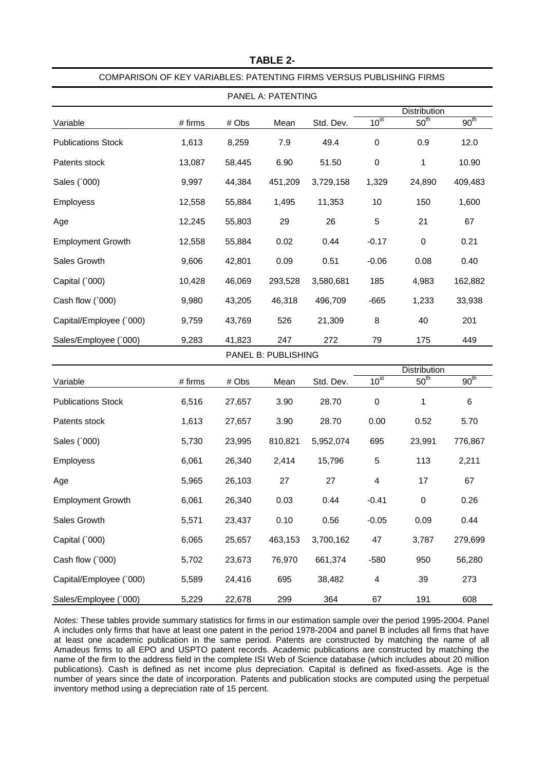| COMPARISON OF KEY VARIABLES: PATENTING FIRMS VERSUS PUBLISHING FIRMS |         |        |                     |           |                         |                                  |                  |
|----------------------------------------------------------------------|---------|--------|---------------------|-----------|-------------------------|----------------------------------|------------------|
|                                                                      |         |        | PANEL A: PATENTING  |           |                         |                                  |                  |
|                                                                      |         |        |                     |           | $10^{st}$               | Distribution<br>50 <sup>th</sup> | 90 <sup>th</sup> |
| Variable                                                             | # firms | # Obs  | Mean                | Std. Dev. |                         |                                  |                  |
| <b>Publications Stock</b>                                            | 1,613   | 8,259  | 7.9                 | 49.4      | $\boldsymbol{0}$        | 0.9                              | 12.0             |
| Patents stock                                                        | 13,087  | 58,445 | 6.90                | 51.50     | $\boldsymbol{0}$        | 1                                | 10.90            |
| Sales (`000)                                                         | 9,997   | 44,384 | 451,209             | 3,729,158 | 1,329                   | 24,890                           | 409,483          |
| Employess                                                            | 12,558  | 55,884 | 1,495               | 11,353    | 10                      | 150                              | 1,600            |
| Age                                                                  | 12,245  | 55,803 | 29                  | 26        | 5                       | 21                               | 67               |
| <b>Employment Growth</b>                                             | 12,558  | 55,884 | 0.02                | 0.44      | $-0.17$                 | $\boldsymbol{0}$                 | 0.21             |
| Sales Growth                                                         | 9,606   | 42,801 | 0.09                | 0.51      | $-0.06$                 | 0.08                             | 0.40             |
| Capital (`000)                                                       | 10,428  | 46,069 | 293,528             | 3,580,681 | 185                     | 4,983                            | 162,882          |
| Cash flow (`000)                                                     | 9,980   | 43,205 | 46,318              | 496,709   | $-665$                  | 1,233                            | 33,938           |
| Capital/Employee (`000)                                              | 9,759   | 43,769 | 526                 | 21,309    | 8                       | 40                               | 201              |
| Sales/Employee (`000)                                                | 9,283   | 41,823 | 247                 | 272       | 79                      | 175                              | 449              |
|                                                                      |         |        | PANEL B: PUBLISHING |           |                         |                                  |                  |
|                                                                      |         |        |                     |           |                         | <b>Distribution</b>              |                  |
| Variable                                                             | # firms | # Obs  | Mean                | Std. Dev. | $10^{st}$               | 50 <sup>th</sup>                 | 90 <sup>th</sup> |
| <b>Publications Stock</b>                                            | 6,516   | 27,657 | 3.90                | 28.70     | $\mathbf 0$             | 1                                | 6                |
| Patents stock                                                        | 1,613   | 27,657 | 3.90                | 28.70     | 0.00                    | 0.52                             | 5.70             |
| Sales (`000)                                                         | 5,730   | 23,995 | 810,821             | 5,952,074 | 695                     | 23,991                           | 776,867          |
| Employess                                                            | 6,061   | 26,340 | 2,414               | 15,796    | 5                       | 113                              | 2,211            |
| Age                                                                  | 5,965   | 26,103 | 27                  | 27        | 4                       | 17                               | 67               |
| <b>Employment Growth</b>                                             | 6,061   | 26,340 | 0.03                | 0.44      | $-0.41$                 | $\boldsymbol{0}$                 | 0.26             |
| Sales Growth                                                         | 5,571   | 23,437 | 0.10                | 0.56      | $-0.05$                 | 0.09                             | 0.44             |
| Capital (`000)                                                       | 6,065   | 25,657 | 463,153             | 3,700,162 | 47                      | 3,787                            | 279,699          |
| Cash flow (`000)                                                     | 5,702   | 23,673 | 76,970              | 661,374   | $-580$                  | 950                              | 56,280           |
| Capital/Employee (`000)                                              | 5,589   | 24,416 | 695                 | 38,482    | $\overline{\mathbf{4}}$ | 39                               | 273              |
| Sales/Employee (`000)                                                | 5,229   | 22,678 | 299                 | 364       | 67                      | 191                              | 608              |

**TABLE 2-**

*Notes:* These tables provide summary statistics for firms in our estimation sample over the period 1995-2004. Panel A includes only firms that have at least one patent in the period 1978-2004 and panel B includes all firms that have at least one academic publication in the same period. Patents are constructed by matching the name of all Amadeus firms to all EPO and USPTO patent records. Academic publications are constructed by matching the name of the firm to the address field in the complete ISI Web of Science database (which includes about 20 million publications). Cash is defined as net income plus depreciation. Capital is defined as fixed-assets. Age is the number of years since the date of incorporation. Patents and publication stocks are computed using the perpetual inventory method using a depreciation rate of 15 percent.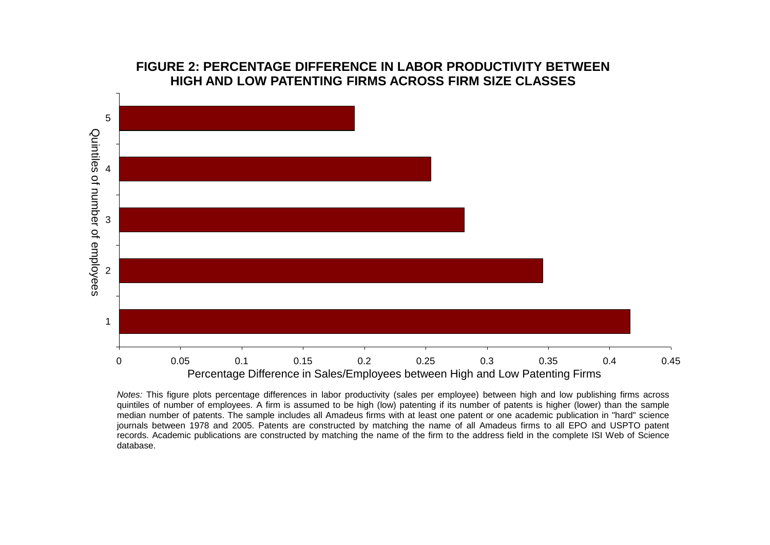# **FIGURE 2: PERCENTAGE DIFFERENCE IN LABOR PRODUCTIVITY BETWEEN HIGH AND LOW PATENTING FIRMS ACROSS FIRM SIZE CLASSES**



*Notes:* This figure plots percentage differences in labor productivity (sales per employee) between high and low publishing firms across quintiles of number of employees. A firm is assumed to be high (low) patenting if its number of patents is higher (lower) than the sample median number of patents. The sample includes all Amadeus firms with at least one patent or one academic publication in "hard" science journals between 1978 and 2005. Patents are constructed by matching the name of all Amadeus firms to all EPO and USPTO patent records. Academic publications are constructed by matching the name of the firm to the address field in the complete ISI Web of Science database.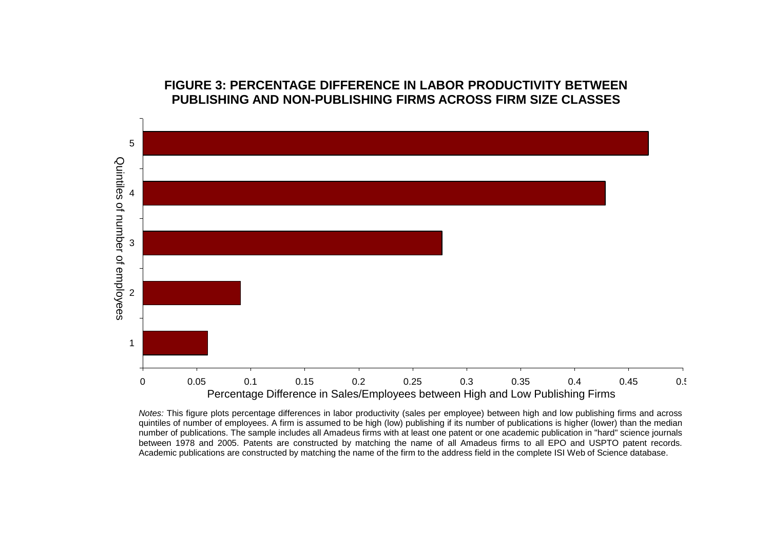#### **Figure 1: Difference in mean labour productivity between high and low patenting FIGURE 3: PERCENTAGE DIFFERENCE IN LABOR PRODUCTIVITY BETWEEN PUBLISHING AND NON-PUBLISHING FIRMS ACROSS FIRM SIZE CLASSES**



*Notes:* This figure plots percentage differences in labor productivity (sales per employee) between high and low publishing firms and across quintiles of number of employees. A firm is assumed to be high (low) publishing if its number of publications is higher (lower) than the median number of publications. The sample includes all Amadeus firms with at least one patent or one academic publication in "hard" science journals between 1978 and 2005. Patents are constructed by matching the name of all Amadeus firms to all EPO and USPTO patent records. Academic publications are constructed by matching the name of the firm to the address field in the complete ISI Web of Science database.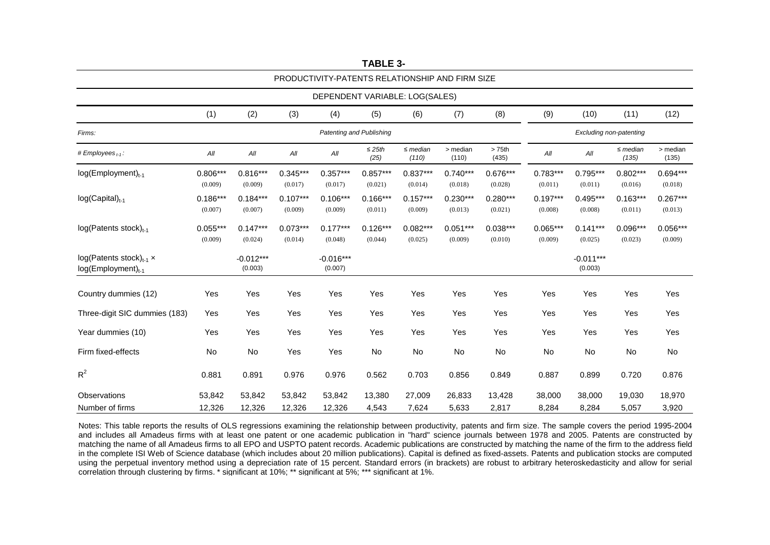|                                                               |                       |                        |                       |                        | יט ששמו                        |                        |                                                 |                       |                       |                        |                        |                       |
|---------------------------------------------------------------|-----------------------|------------------------|-----------------------|------------------------|--------------------------------|------------------------|-------------------------------------------------|-----------------------|-----------------------|------------------------|------------------------|-----------------------|
|                                                               |                       |                        |                       |                        |                                |                        | PRODUCTIVITY-PATENTS RELATIONSHIP AND FIRM SIZE |                       |                       |                        |                        |                       |
|                                                               |                       |                        |                       |                        | DEPENDENT VARIABLE: LOG(SALES) |                        |                                                 |                       |                       |                        |                        |                       |
|                                                               | (1)                   | (2)                    | (3)                   | (4)                    | (5)                            | (6)                    | (7)                                             | (8)                   | (9)                   | (10)                   | (11)                   | (12)                  |
| Patenting and Publishing<br>Excluding non-patenting<br>Firms: |                       |                        |                       |                        |                                |                        |                                                 |                       |                       |                        |                        |                       |
| # Employees $_{t-1}$ :                                        | All                   | All                    | All                   | All                    | $\leq 25th$<br>(25)            | $\leq$ median<br>(110) | > median<br>(110)                               | >75th<br>(435)        | All                   | All                    | $\leq$ median<br>(135) | > median<br>(135)     |
| $log(Employment)_{t-1}$                                       | $0.806***$<br>(0.009) | $0.816***$<br>(0.009)  | $0.345***$<br>(0.017) | $0.357***$<br>(0.017)  | $0.857***$<br>(0.021)          | $0.837***$<br>(0.014)  | $0.740***$<br>(0.018)                           | 0.676***<br>(0.028)   | $0.783***$<br>(0.011) | $0.795***$<br>(0.011)  | $0.802***$<br>(0.016)  | $0.694***$<br>(0.018) |
| $log(Capital)_{t-1}$                                          | $0.186***$<br>(0.007) | $0.184***$<br>(0.007)  | $0.107***$<br>(0.009) | $0.106***$<br>(0.009)  | $0.166***$<br>(0.011)          | $0.157***$<br>(0.009)  | $0.230***$<br>(0.013)                           | $0.280***$<br>(0.021) | $0.197***$<br>(0.008) | $0.495***$<br>(0.008)  | $0.163***$<br>(0.011)  | $0.267***$<br>(0.013) |
| $log(Patents stock)_{t-1}$                                    | $0.055***$<br>(0.009) | $0.147***$<br>(0.024)  | $0.073***$<br>(0.014) | $0.177***$<br>(0.048)  | $0.126***$<br>(0.044)          | $0.082***$<br>(0.025)  | $0.051***$<br>(0.009)                           | $0.038***$<br>(0.010) | $0.065***$<br>(0.009) | $0.141***$<br>(0.025)  | 0.096***<br>(0.023)    | $0.056***$<br>(0.009) |
| $log(Patents stock)_{t-1} \times$<br>$log(Employment)_{t-1}$  |                       | $-0.012***$<br>(0.003) |                       | $-0.016***$<br>(0.007) |                                |                        |                                                 |                       |                       | $-0.011***$<br>(0.003) |                        |                       |
| Country dummies (12)                                          | Yes                   | Yes                    | Yes                   | Yes                    | Yes                            | Yes                    | Yes                                             | Yes                   | Yes                   | Yes                    | Yes                    | Yes                   |
| Three-digit SIC dummies (183)                                 | Yes                   | Yes                    | Yes                   | Yes                    | Yes                            | Yes                    | Yes                                             | Yes                   | Yes                   | Yes                    | Yes                    | Yes                   |
| Year dummies (10)                                             | Yes                   | Yes                    | Yes                   | Yes                    | Yes                            | Yes                    | Yes                                             | Yes                   | Yes                   | Yes                    | Yes                    | Yes                   |
| Firm fixed-effects                                            | No                    | No                     | Yes                   | Yes                    | No                             | No                     | No                                              | No                    | No                    | No                     | No                     | No                    |
| $R^2$                                                         | 0.881                 | 0.891                  | 0.976                 | 0.976                  | 0.562                          | 0.703                  | 0.856                                           | 0.849                 | 0.887                 | 0.899                  | 0.720                  | 0.876                 |
| <b>Observations</b>                                           | 53,842                | 53,842                 | 53,842                | 53,842                 | 13,380                         | 27,009                 | 26,833                                          | 13,428                | 38,000                | 38,000                 | 19,030                 | 18,970                |
| Number of firms                                               | 12,326                | 12,326                 | 12,326                | 12,326                 | 4,543                          | 7,624                  | 5,633                                           | 2,817                 | 8,284                 | 8,284                  | 5,057                  | 3,920                 |

Notes: This table reports the results of OLS regressions examining the relationship between productivity, patents and firm size. The sample covers the period 1995-2004 and includes all Amadeus firms with at least one patent or one academic publication in "hard" science journals between 1978 and 2005. Patents are constructed by matching the name of all Amadeus firms to all EPO and USPTO patent records. Academic publications are constructed by matching the name of the firm to the address field in the complete ISI Web of Science database (which includes about 20 million publications). Capital is defined as fixed-assets. Patents and publication stocks are computed using the perpetual inventory method using a depreciation rate of 15 percent. Standard errors (in brackets) are robust to arbitrary heteroskedasticity and allow for serial correlation through clustering by firms. \* significant at 10%; \*\* significant at 5%; \*\*\* significant at 1%.

**TABLE 3-**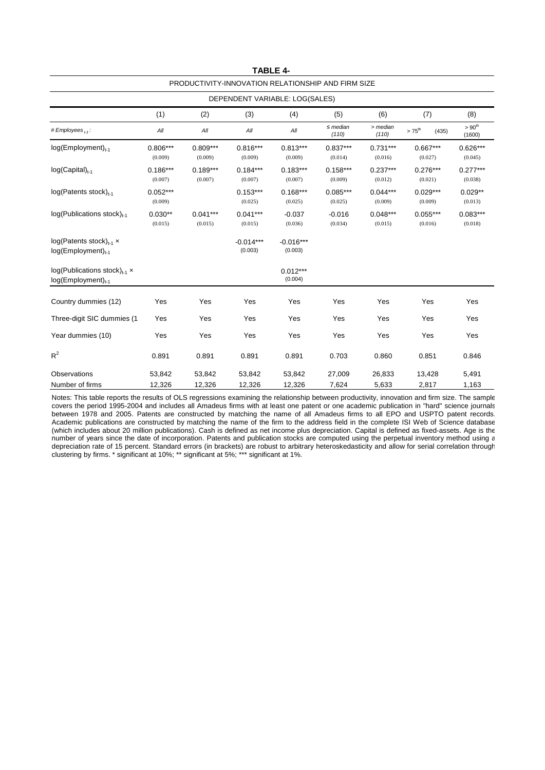|                                                                       |                       |                       |                        | <b>TABLE 4-</b>                                    |                        |                       |                            |                              |  |  |  |
|-----------------------------------------------------------------------|-----------------------|-----------------------|------------------------|----------------------------------------------------|------------------------|-----------------------|----------------------------|------------------------------|--|--|--|
|                                                                       |                       |                       |                        | PRODUCTIVITY-INNOVATION RELATIONSHIP AND FIRM SIZE |                        |                       |                            |                              |  |  |  |
| DEPENDENT VARIABLE: LOG(SALES)                                        |                       |                       |                        |                                                    |                        |                       |                            |                              |  |  |  |
|                                                                       | (1)                   | (2)                   | (3)                    | (4)                                                | (5)                    | (6)                   | (7)                        | (8)                          |  |  |  |
| # Employees $_{t-1}$ :                                                | All                   | All                   | All                    | All                                                | $\leq$ median<br>(110) | $>$ median<br>(110)   | $>75^{\text{th}}$<br>(435) | > 90 <sup>th</sup><br>(1600) |  |  |  |
| $log(Employment)_{t-1}$                                               | $0.806***$<br>(0.009) | $0.809***$<br>(0.009) | $0.816***$<br>(0.009)  | $0.813***$<br>(0.009)                              | $0.837***$<br>(0.014)  | $0.731***$<br>(0.016) | $0.667***$<br>(0.027)      | $0.626***$<br>(0.045)        |  |  |  |
| $log(Capital)_{t-1}$                                                  | $0.186***$<br>(0.007) | $0.189***$<br>(0.007) | $0.184***$<br>(0.007)  | $0.183***$<br>(0.007)                              | $0.158***$<br>(0.009)  | $0.237***$<br>(0.012) | $0.276***$<br>(0.021)      | $0.277***$<br>(0.038)        |  |  |  |
| $log(Patents stock)_{t-1}$                                            | $0.052***$<br>(0.009) |                       | $0.153***$<br>(0.025)  | $0.168***$<br>(0.025)                              | $0.085***$<br>(0.025)  | $0.044***$<br>(0.009) | $0.029***$<br>(0.009)      | $0.029**$<br>(0.013)         |  |  |  |
| $log($ Publications stock $)_{t-1}$                                   | $0.030**$<br>(0.015)  | $0.041***$<br>(0.015) | $0.041***$<br>(0.015)  | $-0.037$<br>(0.036)                                | $-0.016$<br>(0.034)    | $0.048***$<br>(0.015) | $0.055***$<br>(0.016)      | $0.083***$<br>(0.018)        |  |  |  |
| $log(Patents stock)_{t-1} \times$<br>$log(Employment)_{t-1}$          |                       |                       | $-0.014***$<br>(0.003) | $-0.016***$<br>(0.003)                             |                        |                       |                            |                              |  |  |  |
| $log($ Publications stock $)_{t-1} \times$<br>$log(Employment)_{t-1}$ |                       |                       |                        | $0.012***$<br>(0.004)                              |                        |                       |                            |                              |  |  |  |
| Country dummies (12)                                                  | Yes                   | Yes                   | Yes                    | Yes                                                | Yes                    | Yes                   | Yes                        | Yes                          |  |  |  |
| Three-digit SIC dummies (1                                            | Yes                   | Yes                   | Yes                    | Yes                                                | Yes                    | Yes                   | Yes                        | Yes                          |  |  |  |
| Year dummies (10)                                                     | Yes                   | Yes                   | Yes                    | Yes                                                | Yes                    | Yes                   | Yes                        | Yes                          |  |  |  |
| $R^2$                                                                 | 0.891                 | 0.891                 | 0.891                  | 0.891                                              | 0.703                  | 0.860                 | 0.851                      | 0.846                        |  |  |  |
| Observations                                                          | 53,842                | 53,842                | 53,842                 | 53,842                                             | 27,009                 | 26,833                | 13,428                     | 5,491                        |  |  |  |
| Number of firms                                                       | 12,326                | 12,326                | 12,326                 | 12,326                                             | 7,624                  | 5,633                 | 2,817                      | 1,163                        |  |  |  |

Notes: This table reports the results of OLS regressions examining the relationship between productivity, innovation and firm size. The sample covers the period 1995-2004 and includes all Amadeus firms with at least one patent or one academic publication in "hard" science journals between 1978 and 2005. Patents are constructed by matching the name of all Amadeus firms to all EPO and USPTO patent records. Academic publications are constructed by matching the name of the firm to the address field in the complete ISI Web of Science database (which includes about 20 million publications). Cash is defined as net income plus depreciation. Capital is defined as fixed-assets. Age is the number of years since the date of incorporation. Patents and publication stocks are computed using the perpetual inventory method using a depreciation rate of 15 percent. Standard errors (in brackets) are robust to arbitrary heteroskedasticity and allow for serial correlation through clustering by firms. \* significant at 10%; \*\* significant at 5%; \*\*\* significant at 1%.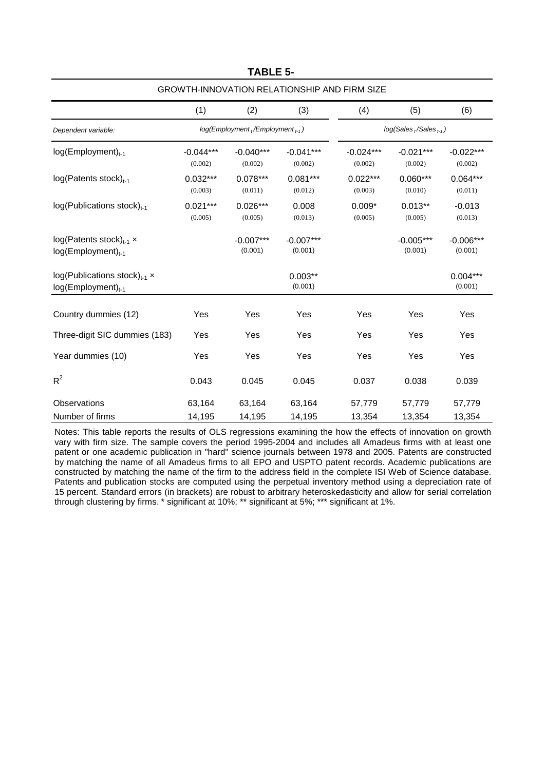|                                                                       | (1)                    | (2)                                  | (3)                    | (4)                      | (5)                    | (6)                    |  |
|-----------------------------------------------------------------------|------------------------|--------------------------------------|------------------------|--------------------------|------------------------|------------------------|--|
| Dependent variable:                                                   |                        | $log(Employment, /Employment_{t-1})$ |                        | $log(Sales, /Sales, _1)$ |                        |                        |  |
| $log(Employment)_{t-1}$                                               | $-0.044***$<br>(0.002) | $-0.040***$<br>(0.002)               | $-0.041***$<br>(0.002) | $-0.024***$<br>(0.002)   | $-0.021***$<br>(0.002) | $-0.022***$<br>(0.002) |  |
| $log(Patents stock)_{t-1}$                                            | $0.032***$<br>(0.003)  | $0.078***$<br>(0.011)                | $0.081***$<br>(0.012)  | $0.022***$<br>(0.003)    | $0.060***$<br>(0.010)  | $0.064***$<br>(0.011)  |  |
| log(Publications stock) <sub>t-1</sub>                                | $0.021***$<br>(0.005)  | $0.026***$<br>(0.005)                | 0.008<br>(0.013)       | $0.009*$<br>(0.005)      | $0.013**$<br>(0.005)   | $-0.013$<br>(0.013)    |  |
| $log(Patents stock)_{t-1} \times$<br>$log(Employment)_{t-1}$          |                        | $-0.007***$<br>(0.001)               | $-0.007***$<br>(0.001) |                          | $-0.005***$<br>(0.001) | $-0.006***$<br>(0.001) |  |
| $log($ Publications stock $)_{t-1} \times$<br>$log(Employment)_{t-1}$ |                        |                                      | $0.003**$<br>(0.001)   |                          |                        | $0.004***$<br>(0.001)  |  |
| Country dummies (12)                                                  | Yes                    | Yes                                  | Yes                    | Yes                      | Yes                    | Yes                    |  |
| Three-digit SIC dummies (183)                                         | Yes                    | Yes                                  | Yes                    | Yes                      | Yes                    | Yes                    |  |
| Year dummies (10)                                                     | Yes                    | Yes                                  | Yes                    | Yes                      | Yes                    | Yes                    |  |
| $R^2$                                                                 | 0.043                  | 0.045                                | 0.045                  | 0.037                    | 0.038                  | 0.039                  |  |
| Observations                                                          | 63,164                 | 63,164                               | 63,164                 | 57,779                   | 57,779                 | 57,779                 |  |
| Number of firms                                                       | 14,195                 | 14,195                               | 14,195                 | 13,354                   | 13,354                 | 13,354                 |  |

#### **TABLE 5-**

## GROWTH-INNOVATION RELATIONSHIP AND FIRM SIZE

Notes: This table reports the results of OLS regressions examining the how the effects of innovation on growth vary with firm size. The sample covers the period 1995-2004 and includes all Amadeus firms with at least one patent or one academic publication in "hard" science journals between 1978 and 2005. Patents are constructed by matching the name of all Amadeus firms to all EPO and USPTO patent records. Academic publications are constructed by matching the name of the firm to the address field in the complete ISI Web of Science database. Patents and publication stocks are computed using the perpetual inventory method using a depreciation rate of 15 percent. Standard errors (in brackets) are robust to arbitrary heteroskedasticity and allow for serial correlation through clustering by firms. \* significant at 10%; \*\* significant at 5%; \*\*\* significant at 1%.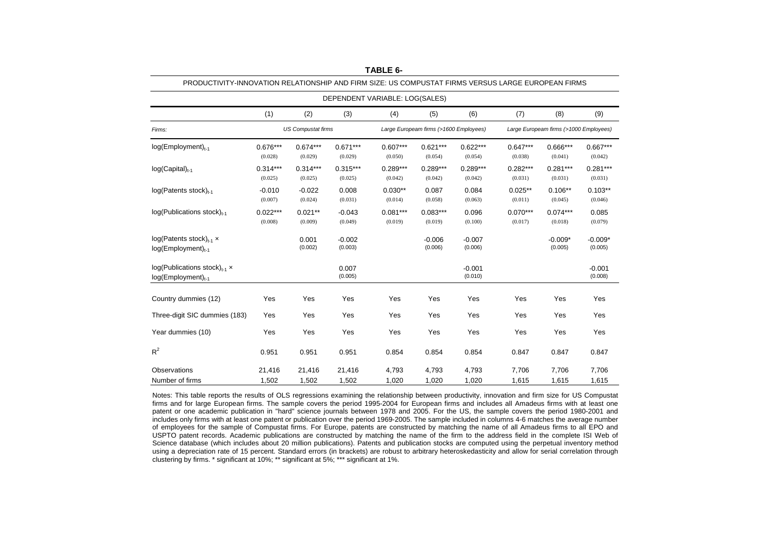|                                                                               |                           |                       |                       | DEPENDENT VARIABLE: LOG(SALES)         |                       |                       |                                        |                       |                       |
|-------------------------------------------------------------------------------|---------------------------|-----------------------|-----------------------|----------------------------------------|-----------------------|-----------------------|----------------------------------------|-----------------------|-----------------------|
|                                                                               | (1)                       | (2)                   | (3)                   | (4)                                    | (5)                   | (6)                   | (7)                                    | (8)                   | (9)                   |
| Firms:                                                                        | <b>US Compustat firms</b> |                       |                       | Large Europeam firms (>1600 Employees) |                       |                       | Large Europeam firms (>1000 Employees) |                       |                       |
| $log(Employment)_{t-1}$                                                       | $0.676***$<br>(0.028)     | $0.674***$<br>(0.029) | $0.671***$<br>(0.029) | $0.607***$<br>(0.050)                  | $0.621***$<br>(0.054) | $0.622***$<br>(0.054) | $0.647***$<br>(0.038)                  | $0.666***$<br>(0.041) | $0.667***$<br>(0.042) |
| $log(Capital)_{t-1}$                                                          | $0.314***$<br>(0.025)     | $0.314***$<br>(0.025) | $0.315***$<br>(0.025) | $0.289***$<br>(0.042)                  | $0.289***$<br>(0.042) | $0.289***$<br>(0.042) | $0.282***$<br>(0.031)                  | $0.281***$<br>(0.031) | $0.281***$<br>(0.031) |
| $log(Patents stock)_{t-1}$                                                    | $-0.010$<br>(0.007)       | $-0.022$<br>(0.024)   | 0.008<br>(0.031)      | $0.030**$<br>(0.014)                   | 0.087<br>(0.058)      | 0.084<br>(0.063)      | $0.025**$<br>(0.011)                   | $0.106**$<br>(0.045)  | $0.103**$<br>(0.046)  |
| log(Publications stock) <sub>t-1</sub>                                        | $0.022***$<br>(0.008)     | $0.021**$<br>(0.009)  | $-0.043$<br>(0.049)   | $0.081***$<br>(0.019)                  | $0.083***$<br>(0.019) | 0.096<br>(0.100)      | $0.070***$<br>(0.017)                  | $0.074***$<br>(0.018) | 0.085<br>(0.079)      |
| $log(Patents stock)_{t-1} \times$<br>$log(Employment)_{t-1}$                  |                           | 0.001<br>(0.002)      | $-0.002$<br>(0.003)   |                                        | $-0.006$<br>(0.006)   | $-0.007$<br>(0.006)   |                                        | $-0.009*$<br>(0.005)  | $-0.009*$<br>(0.005)  |
| $log($ Publications stock) <sub>t-1</sub> $\times$<br>$log(Employment)_{t-1}$ |                           |                       | 0.007<br>(0.005)      |                                        |                       | $-0.001$<br>(0.010)   |                                        |                       | $-0.001$<br>(0.008)   |
| Country dummies (12)                                                          | Yes                       | Yes                   | Yes                   | Yes                                    | Yes                   | Yes                   | Yes                                    | Yes                   | Yes                   |
| Three-digit SIC dummies (183)                                                 | Yes                       | Yes                   | Yes                   | Yes                                    | Yes                   | Yes                   | Yes                                    | Yes                   | Yes                   |
| Year dummies (10)                                                             | Yes                       | Yes                   | Yes                   | Yes                                    | Yes                   | Yes                   | Yes                                    | Yes                   | Yes                   |
| $R^2$                                                                         | 0.951                     | 0.951                 | 0.951                 | 0.854                                  | 0.854                 | 0.854                 | 0.847                                  | 0.847                 | 0.847                 |
| Observations                                                                  | 21,416                    | 21,416                | 21,416                | 4,793                                  | 4,793                 | 4,793                 | 7,706                                  | 7,706                 | 7,706                 |
| Number of firms                                                               | 1,502                     | 1,502                 | 1,502                 | 1,020                                  | 1,020                 | 1,020                 | 1,615                                  | 1,615                 | 1,615                 |

**TABLE 6-** 

PRODUCTIVITY-INNOVATION RELATIONSHIP AND FIRM SIZE: US COMPUSTAT FIRMS VERSUS LARGE EUROPEAN FIRMS

Notes: This table reports the results of OLS regressions examining the relationship between productivity, innovation and firm size for US Compustat firms and for large European firms. The sample covers the period 1995-2004 for European firms and includes all Amadeus firms with at least one patent or one academic publication in "hard" science journals between 1978 and 2005. For the US, the sample covers the period 1980-2001 and includes only firms with at least one patent or publication over the period 1969-2005. The sample included in columns 4-6 matches the average number of employees for the sample of Compustat firms. For Europe, patents are constructed by matching the name of all Amadeus firms to all EPO and USPTO patent records. Academic publications are constructed by matching the name of the firm to the address field in the complete ISI Web of Science database (which includes about 20 million publications). Patents and publication stocks are computed using the perpetual inventory method using a depreciation rate of 15 percent. Standard errors (in brackets) are robust to arbitrary heteroskedasticity and allow for serial correlation through clustering by firms. \* significant at 10%; \*\* significant at 5%; \*\*\* significant at 1%.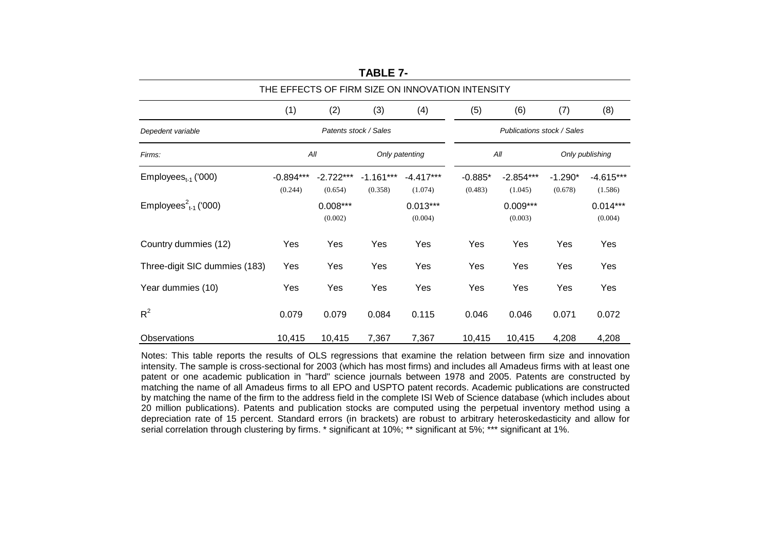|                               |                        |                        |                        | THE EFFECTS OF FIRM SIZE ON INNOVATION INTENSITY |                      |                            |                      |                        |  |
|-------------------------------|------------------------|------------------------|------------------------|--------------------------------------------------|----------------------|----------------------------|----------------------|------------------------|--|
|                               | (1)                    | (2)                    | (3)                    | (4)                                              | (5)                  | (6)                        | (7)                  | (8)                    |  |
| Depedent variable             | Patents stock / Sales  |                        |                        |                                                  |                      | Publications stock / Sales |                      |                        |  |
| Firms:                        | All<br>Only patenting  |                        |                        | All                                              |                      | Only publishing            |                      |                        |  |
| Employees $_{t-1}$ ('000)     | $-0.894***$<br>(0.244) | $-2.722***$<br>(0.654) | $-1.161***$<br>(0.358) | $-4.417***$<br>(1.074)                           | $-0.885*$<br>(0.483) | $-2.854***$<br>(1.045)     | $-1.290*$<br>(0.678) | $-4.615***$<br>(1.586) |  |
| Employees $2_{t-1}$ ('000)    |                        | $0.008***$<br>(0.002)  |                        | $0.013***$<br>(0.004)                            |                      | $0.009***$<br>(0.003)      |                      | $0.014***$<br>(0.004)  |  |
| Country dummies (12)          | Yes                    | Yes                    | Yes                    | Yes                                              | Yes                  | Yes                        | Yes                  | Yes                    |  |
| Three-digit SIC dummies (183) | Yes                    | Yes                    | Yes                    | Yes                                              | Yes                  | Yes                        | Yes                  | Yes                    |  |
| Year dummies (10)             | Yes                    | Yes                    | Yes                    | Yes                                              | Yes                  | Yes                        | Yes                  | Yes                    |  |
| $R^2$                         | 0.079                  | 0.079                  | 0.084                  | 0.115                                            | 0.046                | 0.046                      | 0.071                | 0.072                  |  |
| Observations                  | 10,415                 | 10,415                 | 7,367                  | 7,367                                            | 10,415               | 10,415                     | 4,208                | 4,208                  |  |

Notes: This table reports the results of OLS regressions that examine the relation between firm size and innovation intensity. The sample is cross-sectional for 2003 (which has most firms) and includes all Amadeus firms with at least one patent or one academic publication in "hard" science journals between 1978 and 2005. Patents are constructed by matching the name of all Amadeus firms to all EPO and USPTO patent records. Academic publications are constructed by matching the name of the firm to the address field in the complete ISI Web of Science database (which includes about 20 million publications). Patents and publication stocks are computed using the perpetual inventory method using a depreciation rate of 15 percent. Standard errors (in brackets) are robust to arbitrary heteroskedasticity and allow for serial correlation through clustering by firms. \* significant at 10%; \*\* significant at 5%; \*\*\* significant at 1%.

**TABLE 7-**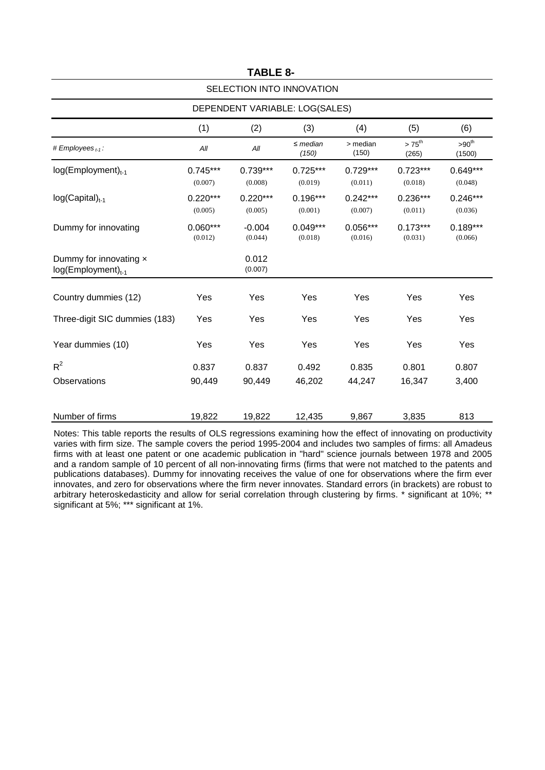|                                                   |                       |                       | SELECTION INTO INNOVATION      |                       |                            |                              |
|---------------------------------------------------|-----------------------|-----------------------|--------------------------------|-----------------------|----------------------------|------------------------------|
|                                                   |                       |                       | DEPENDENT VARIABLE: LOG(SALES) |                       |                            |                              |
|                                                   | (1)                   | (2)                   | (3)                            | (4)                   | (5)                        | (6)                          |
| # Employees $_{t-1}$ :                            | All                   | All                   | $\leq$ median<br>(150)         | > median<br>(150)     | $>75^{\text{th}}$<br>(265) | > 90 <sup>th</sup><br>(1500) |
| $log(Employment)_{t-1}$                           | $0.745***$<br>(0.007) | $0.739***$<br>(0.008) | $0.725***$<br>(0.019)          | $0.729***$<br>(0.011) | $0.723***$<br>(0.018)      | $0.649***$<br>(0.048)        |
| $log(Capital)_{t-1}$                              | $0.220***$<br>(0.005) | $0.220***$<br>(0.005) | $0.196***$<br>(0.001)          | $0.242***$<br>(0.007) | $0.236***$<br>(0.011)      | $0.246***$<br>(0.036)        |
| Dummy for innovating                              | $0.060***$<br>(0.012) | $-0.004$<br>(0.044)   | $0.049***$<br>(0.018)          | $0.056***$<br>(0.016) | $0.173***$<br>(0.031)      | $0.189***$<br>(0.066)        |
| Dummy for innovating x<br>$log(Employment)_{t-1}$ |                       | 0.012<br>(0.007)      |                                |                       |                            |                              |
| Country dummies (12)                              | Yes                   | Yes                   | Yes                            | Yes                   | Yes                        | Yes                          |
| Three-digit SIC dummies (183)                     | Yes                   | Yes                   | Yes                            | Yes                   | Yes                        | Yes                          |
| Year dummies (10)                                 | Yes                   | Yes                   | Yes                            | Yes                   | Yes                        | Yes                          |
| $R^2$                                             | 0.837                 | 0.837                 | 0.492                          | 0.835                 | 0.801                      | 0.807                        |
| Observations                                      | 90,449                | 90,449                | 46,202                         | 44,247                | 16,347                     | 3,400                        |
| Number of firms                                   | 19,822                | 19,822                | 12,435                         | 9,867                 | 3,835                      | 813                          |

**TABLE 8-** 

Notes: This table reports the results of OLS regressions examining how the effect of innovating on productivity varies with firm size. The sample covers the period 1995-2004 and includes two samples of firms: all Amadeus firms with at least one patent or one academic publication in "hard" science journals between 1978 and 2005 and a random sample of 10 percent of all non-innovating firms (firms that were not matched to the patents and publications databases). Dummy for innovating receives the value of one for observations where the firm ever innovates, and zero for observations where the firm never innovates. Standard errors (in brackets) are robust to arbitrary heteroskedasticity and allow for serial correlation through clustering by firms. \* significant at 10%; \*\* significant at 5%; \*\*\* significant at 1%.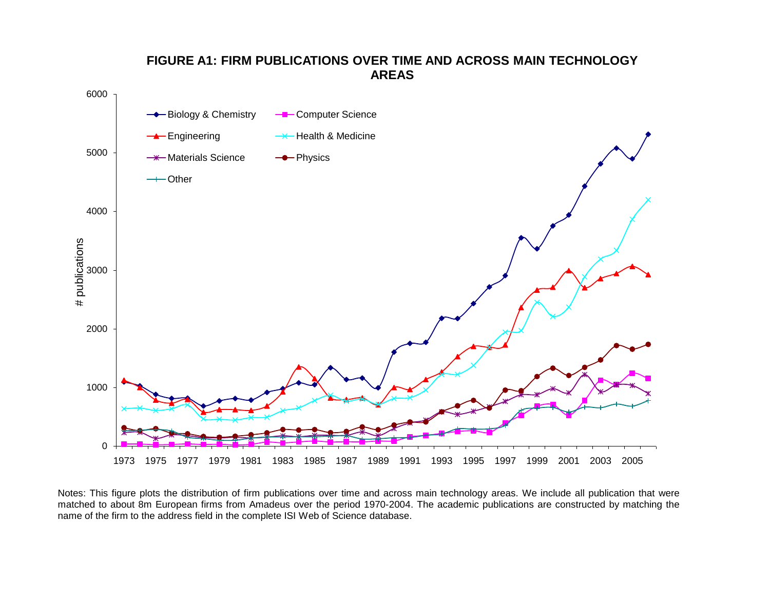# 0 1000 2000 3000 4000 5000 6000 1973 1975 1977 1979 1981 1983 1985 1987 1989 1991 1993 1995 1997 1999 2001 2003 2005 # publications  $\rightarrow$ Biology & Chemistry  $\rightarrow$  Computer Science  $\rightarrow$  Engineering  $\rightarrow$  Health & Medicine  $\rightarrow$  Materials Science  $\rightarrow$  Physics  $\leftarrow$ Other

**FIGURE A1: FIRM PUBLICATIONS OVER TIME AND ACROSS MAIN TECHNOLOGY AREAS**

Notes: This figure plots the distribution of firm publications over time and across main technology areas. We include all publication that were matched to about 8m European firms from Amadeus over the period 1970-2004. The academic publications are constructed by matching the name of the firm to the address field in the complete ISI Web of Science database.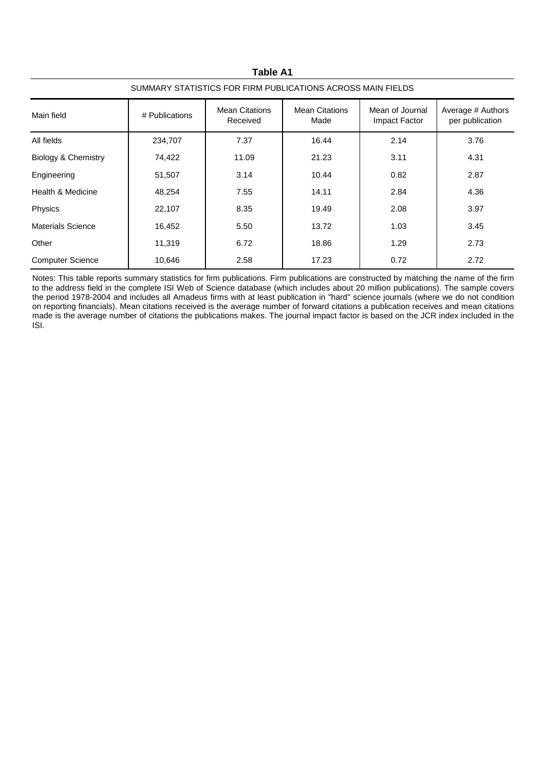| SUMMARY STATISTICS FOR FIRM PUBLICATIONS ACROSS MAIN FIELDS |                |                                   |                               |                                  |                                      |  |  |  |  |
|-------------------------------------------------------------|----------------|-----------------------------------|-------------------------------|----------------------------------|--------------------------------------|--|--|--|--|
| Main field                                                  | # Publications | <b>Mean Citations</b><br>Received | <b>Mean Citations</b><br>Made | Mean of Journal<br>Impact Factor | Average # Authors<br>per publication |  |  |  |  |
| All fields                                                  | 234,707        | 7.37                              | 16.44                         | 2.14                             | 3.76                                 |  |  |  |  |
| Biology & Chemistry                                         | 74,422         | 11.09                             | 21.23                         | 3.11                             | 4.31                                 |  |  |  |  |
| Engineering                                                 | 51,507         | 3.14                              | 10.44                         | 0.82                             | 2.87                                 |  |  |  |  |
| Health & Medicine                                           | 48,254         | 7.55                              | 14.11                         | 2.84                             | 4.36                                 |  |  |  |  |
| Physics                                                     | 22,107         | 8.35                              | 19.49                         | 2.08                             | 3.97                                 |  |  |  |  |
| <b>Materials Science</b>                                    | 16,452         | 5.50                              | 13.72                         | 1.03                             | 3.45                                 |  |  |  |  |
| Other                                                       | 11,319         | 6.72                              | 18.86                         | 1.29                             | 2.73                                 |  |  |  |  |
| <b>Computer Science</b>                                     | 10,646         | 2.58                              | 17.23                         | 0.72                             | 2.72                                 |  |  |  |  |

**Table A1**

Notes: This table reports summary statistics for firm publications. Firm publications are constructed by matching the name of the firm to the address field in the complete ISI Web of Science database (which includes about 20 million publications). The sample covers the period 1978-2004 and includes all Amadeus firms with at least publication in "hard" science journals (where we do not condition on reporting financials). Mean citations received is the average number of forward citations a publication receives and mean citations made is the average number of citations the publications makes. The journal impact factor is based on the JCR index included in the ISI.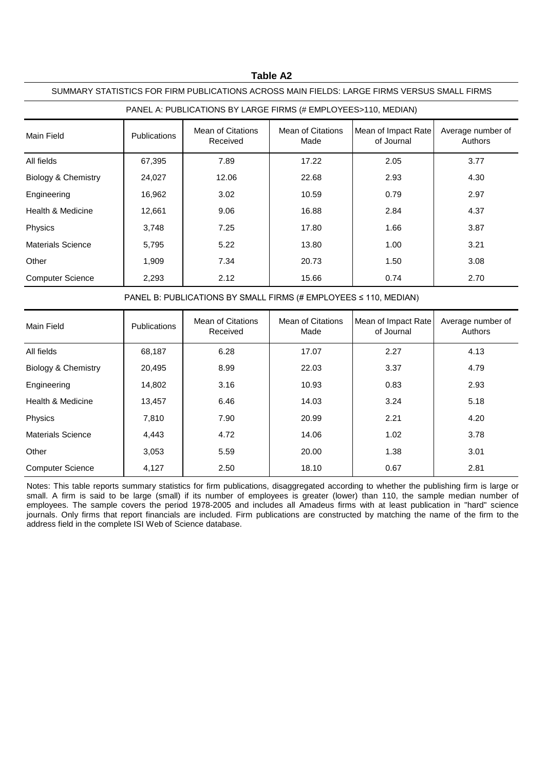|                                                                | SUMMARY STATISTICS FOR FIRM PUBLICATIONS ACROSS MAIN FIELDS: LARGE FIRMS VERSUS SMALL FIRMS |                               |                           |                                   |                                     |  |  |  |  |
|----------------------------------------------------------------|---------------------------------------------------------------------------------------------|-------------------------------|---------------------------|-----------------------------------|-------------------------------------|--|--|--|--|
| PANEL A: PUBLICATIONS BY LARGE FIRMS (# EMPLOYEES>110, MEDIAN) |                                                                                             |                               |                           |                                   |                                     |  |  |  |  |
| Main Field                                                     | <b>Publications</b>                                                                         | Mean of Citations<br>Received | Mean of Citations<br>Made | Mean of Impact Rate<br>of Journal | Average number of<br><b>Authors</b> |  |  |  |  |
| All fields                                                     | 67,395                                                                                      | 7.89                          | 17.22                     | 2.05                              | 3.77                                |  |  |  |  |
| Biology & Chemistry                                            | 24,027                                                                                      | 12.06                         | 22.68                     | 2.93                              | 4.30                                |  |  |  |  |
| Engineering                                                    | 16,962                                                                                      | 3.02                          | 10.59                     | 0.79                              | 2.97                                |  |  |  |  |
| Health & Medicine                                              | 12,661                                                                                      | 9.06                          | 16.88                     | 2.84                              | 4.37                                |  |  |  |  |
| Physics                                                        | 3,748                                                                                       | 7.25                          | 17.80                     | 1.66                              | 3.87                                |  |  |  |  |
| <b>Materials Science</b>                                       | 5,795                                                                                       | 5.22                          | 13.80                     | 1.00                              | 3.21                                |  |  |  |  |
| Other                                                          | 1,909                                                                                       | 7.34                          | 20.73                     | 1.50                              | 3.08                                |  |  |  |  |
| <b>Computer Science</b>                                        | 2,293                                                                                       | 2.12                          | 15.66                     | 0.74                              | 2.70                                |  |  |  |  |

#### **Table A2**

PANEL B: PUBLICATIONS BY SMALL FIRMS (# EMPLOYEES ≤ 110, MEDIAN)

| Main Field               | <b>Publications</b> | Mean of Citations<br>Received | Mean of Citations<br>Made | Mean of Impact Rate<br>of Journal | Average number of<br>Authors |
|--------------------------|---------------------|-------------------------------|---------------------------|-----------------------------------|------------------------------|
| All fields               | 68,187              | 6.28                          | 17.07                     | 2.27                              | 4.13                         |
| Biology & Chemistry      | 20,495              | 8.99                          | 22.03                     | 3.37                              | 4.79                         |
| Engineering              | 14,802              | 3.16                          | 10.93                     | 0.83                              | 2.93                         |
| Health & Medicine        | 13,457              | 6.46                          | 14.03                     | 3.24                              | 5.18                         |
| Physics                  | 7,810               | 7.90                          | 20.99                     | 2.21                              | 4.20                         |
| <b>Materials Science</b> | 4,443               | 4.72                          | 14.06                     | 1.02                              | 3.78                         |
| Other                    | 3,053               | 5.59                          | 20.00                     | 1.38                              | 3.01                         |
| <b>Computer Science</b>  | 4,127               | 2.50                          | 18.10                     | 0.67                              | 2.81                         |

Notes: This table reports summary statistics for firm publications, disaggregated according to whether the publishing firm is large or small. A firm is said to be large (small) if its number of employees is greater (lower) than 110, the sample median number of employees. The sample covers the period 1978-2005 and includes all Amadeus firms with at least publication in "hard" science journals. Only firms that report financials are included. Firm publications are constructed by matching the name of the firm to the address field in the complete ISI Web of Science database.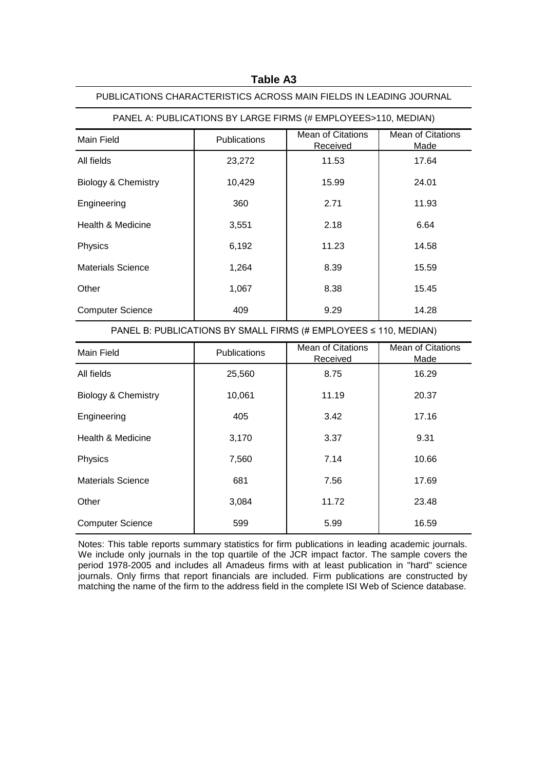| PANEL A: PUBLICATIONS BY LARGE FIRMS (# EMPLOYEES>110, MEDIAN) |                     |                                      |       |  |  |  |  |  |  |
|----------------------------------------------------------------|---------------------|--------------------------------------|-------|--|--|--|--|--|--|
| Main Field                                                     | <b>Publications</b> | <b>Mean of Citations</b><br>Received |       |  |  |  |  |  |  |
| All fields                                                     | 23,272              | 11.53                                | 17.64 |  |  |  |  |  |  |
| Biology & Chemistry                                            | 10,429              | 15.99                                | 24.01 |  |  |  |  |  |  |
| Engineering                                                    | 360                 | 2.71                                 | 11.93 |  |  |  |  |  |  |
| Health & Medicine                                              | 3,551               | 2.18                                 | 6.64  |  |  |  |  |  |  |
| Physics                                                        | 6,192               | 11.23                                | 14.58 |  |  |  |  |  |  |
| Materials Science                                              | 1,264               | 8.39                                 | 15.59 |  |  |  |  |  |  |
| Other                                                          | 1,067               | 8.38                                 | 15.45 |  |  |  |  |  |  |
| <b>Computer Science</b>                                        | 409                 | 9.29                                 | 14.28 |  |  |  |  |  |  |

#### **Table A3**

# PUBLICATIONS CHARACTERISTICS ACROSS MAIN FIELDS IN LEADING JOURNAL

PANEL B: PUBLICATIONS BY SMALL FIRMS (# EMPLOYEES ≤ 110, MEDIAN)

| Main Field               | Publications | <b>Mean of Citations</b><br>Received | Mean of Citations<br>Made |  |
|--------------------------|--------------|--------------------------------------|---------------------------|--|
| All fields               | 25,560       | 8.75                                 | 16.29                     |  |
| Biology & Chemistry      | 10,061       | 11.19                                | 20.37                     |  |
| Engineering              | 405          | 3.42                                 | 17.16                     |  |
| Health & Medicine        | 3,170        | 3.37                                 | 9.31                      |  |
| Physics                  | 7,560        | 7.14                                 | 10.66                     |  |
| <b>Materials Science</b> | 681          | 7.56                                 | 17.69                     |  |
| Other                    | 3,084        | 11.72                                | 23.48                     |  |
| <b>Computer Science</b>  | 599          | 5.99                                 | 16.59                     |  |

Notes: This table reports summary statistics for firm publications in leading academic journals. We include only journals in the top quartile of the JCR impact factor. The sample covers the period 1978-2005 and includes all Amadeus firms with at least publication in "hard" science journals. Only firms that report financials are included. Firm publications are constructed by matching the name of the firm to the address field in the complete ISI Web of Science database.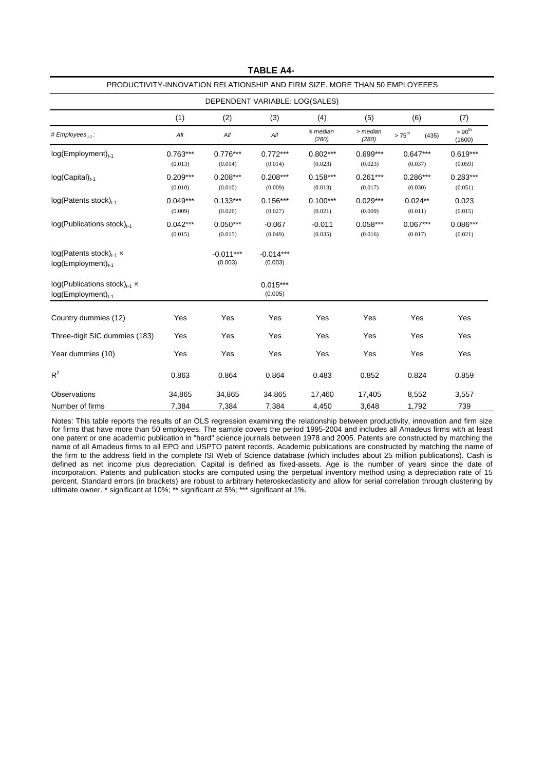| PRODUCTIVITY-INNOVATION RELATIONSHIP AND FIRM SIZE. MORE THAN 50 EMPLOYEEES |                       |                        |                          |                        |                       |                            |                              |  |
|-----------------------------------------------------------------------------|-----------------------|------------------------|--------------------------|------------------------|-----------------------|----------------------------|------------------------------|--|
| DEPENDENT VARIABLE: LOG(SALES)                                              |                       |                        |                          |                        |                       |                            |                              |  |
| (1)<br>(2)<br>(3)<br>(4)<br>(5)<br>(6)<br>(7)                               |                       |                        |                          |                        |                       |                            |                              |  |
| # Employees $_{t-1}$ :                                                      | All                   | $\mathit{All}$         | $\mathcal{A}\mathit{II}$ | $\leq$ median<br>(280) | > median<br>(280)     | $>75^{\text{th}}$<br>(435) | > 90 <sup>th</sup><br>(1600) |  |
| $log(Employment)_{t-1}$                                                     | $0.763***$<br>(0.013) | $0.776***$<br>(0.014)  | $0.772***$<br>(0.014)    | $0.802***$<br>(0.023)  | $0.699***$<br>(0.023) | $0.647***$<br>(0.037)      | $0.619***$<br>(0.059)        |  |
| $log(Capital)_{t-1}$                                                        | $0.209***$<br>(0.010) | $0.208***$<br>(0.010)  | $0.208***$<br>(0.009)    | $0.158***$<br>(0.013)  | $0.261***$<br>(0.017) | $0.286***$<br>(0.030)      | $0.283***$<br>(0.051)        |  |
| $log(Patents stock)_{t,1}$                                                  | $0.049***$<br>(0.009) | $0.133***$<br>(0.026)  | $0.156***$<br>(0.027)    | $0.100***$<br>(0.021)  | $0.029***$<br>(0.009) | $0.024**$<br>(0.011)       | 0.023<br>(0.015)             |  |
| $log(Publications stock)_{t-1}$                                             | $0.042***$<br>(0.015) | $0.050***$<br>(0.015)  | $-0.067$<br>(0.049)      | $-0.011$<br>(0.035)    | $0.058***$<br>(0.016) | $0.067***$<br>(0.017)      | $0.086***$<br>(0.021)        |  |
| $log(Patents stock)_{t-1} \times$<br>$log(Employment)_{t-1}$                |                       | $-0.011***$<br>(0.003) | $-0.014***$<br>(0.003)   |                        |                       |                            |                              |  |
| $log($ Publications stock) $_{t=1}$ ×<br>$log(Employment)_{t-1}$            |                       |                        | $0.015***$<br>(0.005)    |                        |                       |                            |                              |  |
| Country dummies (12)                                                        | Yes                   | Yes                    | Yes                      | Yes                    | Yes                   | Yes                        | Yes                          |  |
| Three-digit SIC dummies (183)                                               | Yes                   | Yes                    | Yes                      | Yes                    | Yes                   | Yes                        | Yes                          |  |
| Year dummies (10)                                                           | Yes                   | Yes                    | Yes                      | Yes                    | Yes                   | Yes                        | Yes                          |  |
| $R^2$                                                                       | 0.863                 | 0.864                  | 0.864                    | 0.483                  | 0.852                 | 0.824                      | 0.859                        |  |
| Observations                                                                | 34,865                | 34,865                 | 34,865                   | 17,460                 | 17,405                | 8,552                      | 3,557                        |  |
| Number of firms                                                             | 7,384                 | 7,384                  | 7,384                    | 4,450                  | 3,648                 | 1,792                      | 739                          |  |

**TABLE A4-** 

Notes: This table reports the results of an OLS regression examining the relationship between productivity, innovation and firm size for firms that have more than 50 employees. The sample covers the period 1995-2004 and includes all Amadeus firms with at least one patent or one academic publication in "hard" science journals between 1978 and 2005. Patents are constructed by matching the name of all Amadeus firms to all EPO and USPTO patent records. Academic publications are constructed by matching the name of the firm to the address field in the complete ISI Web of Science database (which includes about 25 million publications). Cash is defined as net income plus depreciation. Capital is defined as fixed-assets. Age is the number of years since the date of incorporation. Patents and publication stocks are computed using the perpetual inventory method using a depreciation rate of 15 percent. Standard errors (in brackets) are robust to arbitrary heteroskedasticity and allow for serial correlation through clustering by ultimate owner. \* significant at 10%; \*\* significant at 5%; \*\*\* significant at 1%.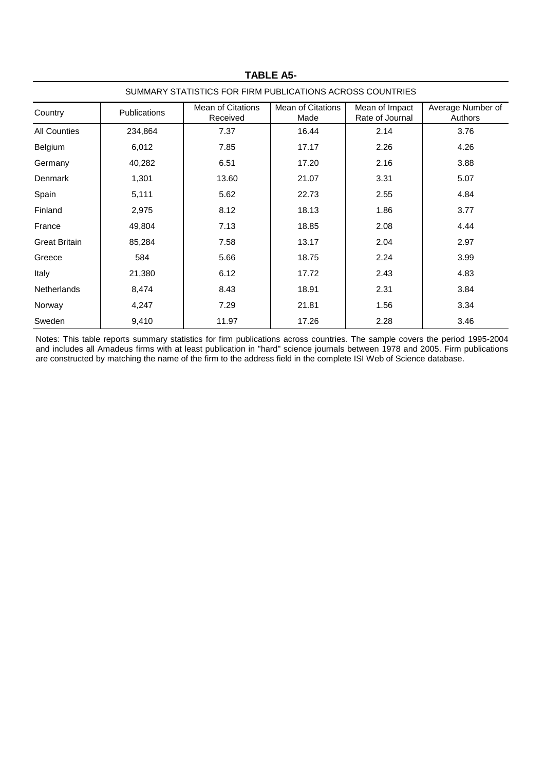| SUMMARY STATISTICS FOR FIRM PUBLICATIONS ACROSS COUNTRIES |                     |                                      |                                  |                                   |                              |  |  |
|-----------------------------------------------------------|---------------------|--------------------------------------|----------------------------------|-----------------------------------|------------------------------|--|--|
| Country                                                   | <b>Publications</b> | <b>Mean of Citations</b><br>Received | <b>Mean of Citations</b><br>Made | Mean of Impact<br>Rate of Journal | Average Number of<br>Authors |  |  |
| <b>All Counties</b>                                       | 234,864             | 7.37                                 | 16.44                            | 2.14                              | 3.76                         |  |  |
| Belgium                                                   | 6,012               | 7.85                                 | 17.17                            | 2.26                              | 4.26                         |  |  |
| Germany                                                   | 40,282              | 6.51                                 | 17.20                            | 2.16                              | 3.88                         |  |  |
| Denmark                                                   | 1,301               | 13.60                                | 21.07                            | 3.31                              | 5.07                         |  |  |
| Spain                                                     | 5,111               | 5.62                                 | 22.73                            | 2.55                              | 4.84                         |  |  |
| Finland                                                   | 2,975               | 8.12                                 | 18.13                            | 1.86                              | 3.77                         |  |  |
| France                                                    | 49,804              | 7.13                                 | 18.85                            | 2.08                              | 4.44                         |  |  |
| <b>Great Britain</b>                                      | 85,284              | 7.58                                 | 13.17                            | 2.04                              | 2.97                         |  |  |
| Greece                                                    | 584                 | 5.66                                 | 18.75                            | 2.24                              | 3.99                         |  |  |
| Italy                                                     | 21,380              | 6.12                                 | 17.72                            | 2.43                              | 4.83                         |  |  |
| <b>Netherlands</b>                                        | 8,474               | 8.43                                 | 18.91                            | 2.31                              | 3.84                         |  |  |
| Norway                                                    | 4,247               | 7.29                                 | 21.81                            | 1.56                              | 3.34                         |  |  |
| Sweden                                                    | 9,410               | 11.97                                | 17.26                            | 2.28                              | 3.46                         |  |  |

Notes: This table reports summary statistics for firm publications across countries. The sample covers the period 1995-2004 and includes all Amadeus firms with at least publication in "hard" science journals between 1978 and 2005. Firm publications are constructed by matching the name of the firm to the address field in the complete ISI Web of Science database.

#### **TABLE A5-**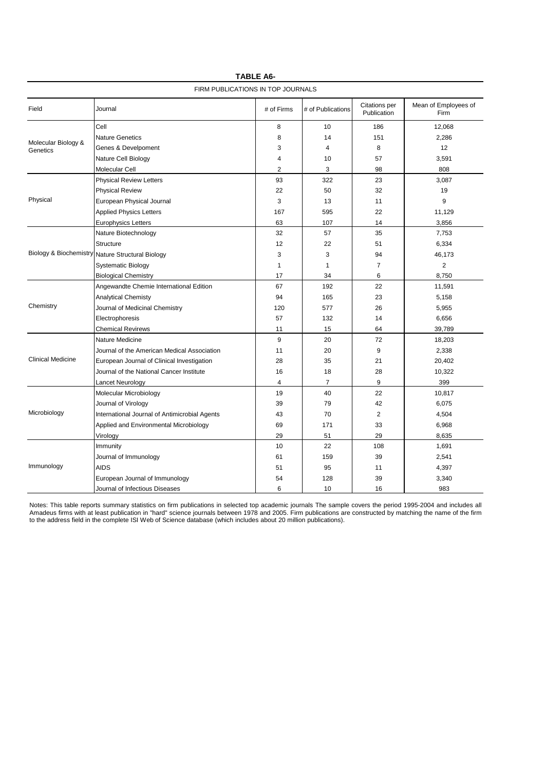| Field                           | Journal                                          | # of Firms     | # of Publications | Citations per<br>Publication | Mean of Employees of<br>Firm |
|---------------------------------|--------------------------------------------------|----------------|-------------------|------------------------------|------------------------------|
| Molecular Biology &<br>Genetics | Cell                                             | 8              | 10                | 186                          | 12,068                       |
|                                 | <b>Nature Genetics</b>                           | 8              | 14                | 151                          | 2,286                        |
|                                 | Genes & Develpoment                              | 3              | $\overline{4}$    | 8                            | 12                           |
|                                 | Nature Cell Biology                              | 4              | 10                | 57                           | 3,591                        |
|                                 | Molecular Cell                                   | $\overline{2}$ | 3                 | 98                           | 808                          |
|                                 | <b>Physical Review Letters</b>                   | 93             | 322               | 23                           | 3,087                        |
|                                 | <b>Physical Review</b>                           | 22             | 50                | 32                           | 19                           |
| Physical                        | European Physical Journal                        | 3              | 13                | 11                           | 9                            |
|                                 | <b>Applied Physics Letters</b>                   | 167            | 595               | 22                           | 11,129                       |
|                                 | <b>Europhysics Letters</b>                       | 63             | 107               | 14                           | 3,856                        |
|                                 | Nature Biotechnology                             | 32             | 57                | 35                           | 7,753                        |
|                                 | <b>Structure</b>                                 | 12             | 22                | 51                           | 6,334                        |
|                                 | Biology & Biochemistry Nature Structural Biology | 3              | 3                 | 94                           | 46,173                       |
|                                 | <b>Systematic Biology</b>                        | $\mathbf{1}$   | $\mathbf{1}$      | $\overline{7}$               | $\overline{2}$               |
|                                 | <b>Biological Chemistry</b>                      | 17             | 34                | 6                            | 8,750                        |
|                                 | Angewandte Chemie International Edition          | 67             | 192               | 22                           | 11,591                       |
|                                 | <b>Analytical Chemisty</b>                       | 94             | 165               | 23                           | 5,158                        |
| Chemistry                       | Journal of Medicinal Chemistry                   | 120            | 577               | 26                           | 5,955                        |
|                                 | Electrophoresis                                  | 57             | 132               | 14                           | 6,656                        |
|                                 | <b>Chemical Revirews</b>                         | 11             | 15                | 64                           | 39,789                       |
|                                 | Nature Medicine                                  | 9              | 20                | 72                           | 18,203                       |
|                                 | Journal of the American Medical Association      | 11             | 20                | 9                            | 2,338                        |
| <b>Clinical Medicine</b>        | European Journal of Clinical Investigation       | 28             | 35                | 21                           | 20,402                       |
|                                 | Journal of the National Cancer Institute         | 16             | 18                | 28                           | 10,322                       |
|                                 | Lancet Neurology                                 | 4              | $\overline{7}$    | 9                            | 399                          |
|                                 | Molecular Microbiology                           | 19             | 40                | 22                           | 10,817                       |
|                                 | Journal of Virology                              | 39             | 79                | 42                           | 6,075                        |
| Microbiology                    | International Journal of Antimicrobial Agents    | 43             | 70                | $\overline{2}$               | 4,504                        |
|                                 | Applied and Environmental Microbiology           | 69             | 171               | 33                           | 6,968                        |
|                                 | Virology                                         | 29             | 51                | 29                           | 8,635                        |
|                                 | Immunity                                         | 10             | 22                | 108                          | 1,691                        |
|                                 | Journal of Immunology                            | 61             | 159               | 39                           | 2,541                        |
| Immunology                      | <b>AIDS</b>                                      | 51             | 95                | 11                           | 4,397                        |
|                                 | European Journal of Immunology                   | 54             | 128               | 39                           | 3,340                        |
|                                 | Journal of Infectious Diseases                   | 6              | 10                | 16                           | 983                          |

**TABLE A6-** FIRM PUBLICATIONS IN TOP JOURNALS

*.*Notes: This table reports summary statistics on firm publications in selected top academic journals The sample covers the period 1995-2004 and includes all Amadeus firms with at least publication in "hard" science journals between 1978 and 2005. Firm publications are constructed by matching the name of the firm to the address field in the complete ISI Web of Science database (which includes about 20 million publications).